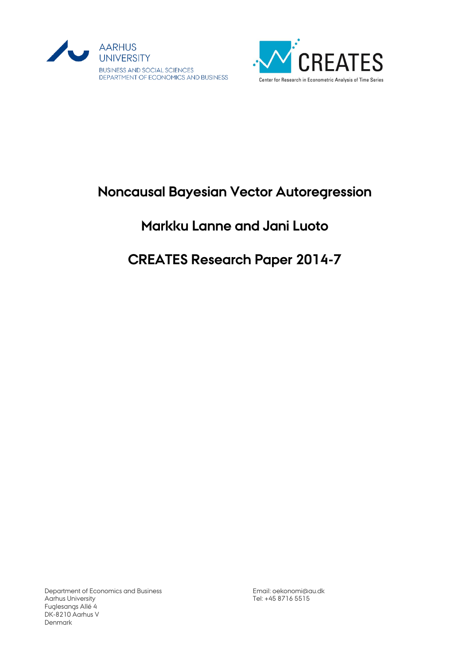



## **Noncausal Bayesian Vector Autoregression**

## **Markku Lanne and Jani Luoto**

# **CREATES Research Paper 2014-7**

Department of Economics and Business Aarhus University Fuglesangs Allé 4 DK-8210 Aarhus V Denmark

Email[: oekonomi@au.dk](mailto:oekonomi@au.dk) Tel: +45 8716 5515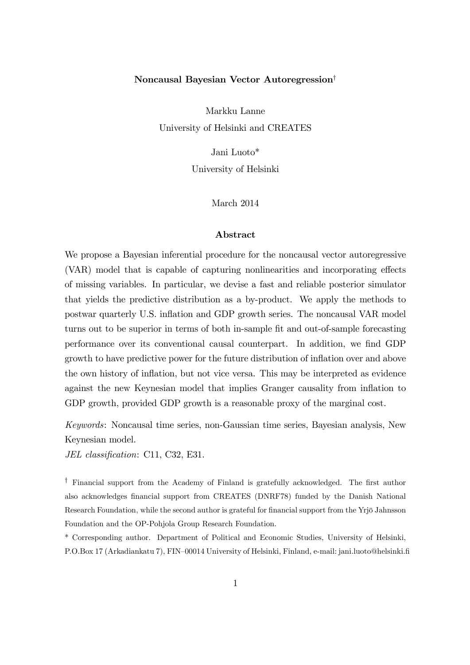## Noncausal Bayesian Vector Autoregression

Markku Lanne University of Helsinki and CREATES

Jani Luoto\*

University of Helsinki

March 2014

#### Abstract

We propose a Bayesian inferential procedure for the noncausal vector autoregressive (VAR) model that is capable of capturing nonlinearities and incorporating effects of missing variables. In particular, we devise a fast and reliable posterior simulator that yields the predictive distribution as a by-product. We apply the methods to postwar quarterly U.S. ináation and GDP growth series. The noncausal VAR model turns out to be superior in terms of both in-sample fit and out-of-sample forecasting performance over its conventional causal counterpart. In addition, we find GDP growth to have predictive power for the future distribution of ináation over and above the own history of ináation, but not vice versa. This may be interpreted as evidence against the new Keynesian model that implies Granger causality from ináation to GDP growth, provided GDP growth is a reasonable proxy of the marginal cost.

Keywords: Noncausal time series, non-Gaussian time series, Bayesian analysis, New Keynesian model.

JEL classification: C11, C32, E31.

<sup> $\dagger$ </sup> Financial support from the Academy of Finland is gratefully acknowledged. The first author also acknowledges financial support from CREATES (DNRF78) funded by the Danish National Research Foundation, while the second author is grateful for financial support from the Yrjö Jahnsson Foundation and the OP-Pohjola Group Research Foundation.

\* Corresponding author. Department of Political and Economic Studies, University of Helsinki, P.O.Box 17 (Arkadiankatu 7), FIN-00014 University of Helsinki, Finland, e-mail: jani.luoto@helsinki.fi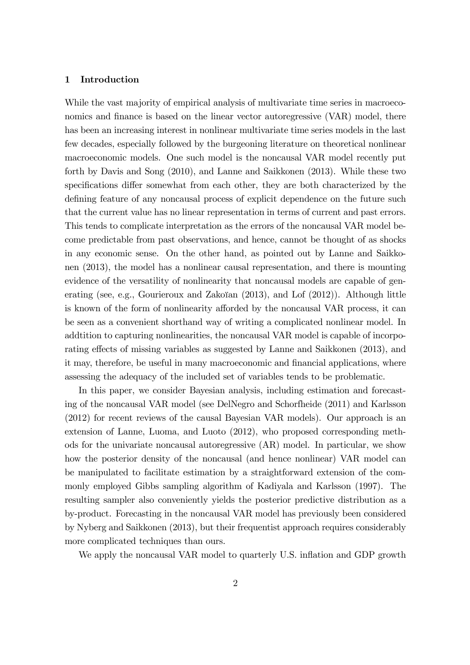#### 1 Introduction

While the vast majority of empirical analysis of multivariate time series in macroeconomics and finance is based on the linear vector autoregressive (VAR) model, there has been an increasing interest in nonlinear multivariate time series models in the last few decades, especially followed by the burgeoning literature on theoretical nonlinear macroeconomic models. One such model is the noncausal VAR model recently put forth by Davis and Song (2010), and Lanne and Saikkonen (2013). While these two specifications differ somewhat from each other, they are both characterized by the defining feature of any noncausal process of explicit dependence on the future such that the current value has no linear representation in terms of current and past errors. This tends to complicate interpretation as the errors of the noncausal VAR model become predictable from past observations, and hence, cannot be thought of as shocks in any economic sense. On the other hand, as pointed out by Lanne and Saikkonen (2013), the model has a nonlinear causal representation, and there is mounting evidence of the versatility of nonlinearity that noncausal models are capable of generating (see, e.g., Gourieroux and Zakoïan  $(2013)$ , and Lof  $(2012)$ ). Although little is known of the form of nonlinearity afforded by the noncausal VAR process, it can be seen as a convenient shorthand way of writing a complicated nonlinear model. In addtition to capturing nonlinearities, the noncausal VAR model is capable of incorporating effects of missing variables as suggested by Lanne and Saikkonen (2013), and it may, therefore, be useful in many macroeconomic and financial applications, where assessing the adequacy of the included set of variables tends to be problematic.

In this paper, we consider Bayesian analysis, including estimation and forecasting of the noncausal VAR model (see DelNegro and Schorfheide (2011) and Karlsson (2012) for recent reviews of the causal Bayesian VAR models). Our approach is an extension of Lanne, Luoma, and Luoto (2012), who proposed corresponding methods for the univariate noncausal autoregressive (AR) model. In particular, we show how the posterior density of the noncausal (and hence nonlinear) VAR model can be manipulated to facilitate estimation by a straightforward extension of the commonly employed Gibbs sampling algorithm of Kadiyala and Karlsson (1997). The resulting sampler also conveniently yields the posterior predictive distribution as a by-product. Forecasting in the noncausal VAR model has previously been considered by Nyberg and Saikkonen (2013), but their frequentist approach requires considerably more complicated techniques than ours.

We apply the noncausal VAR model to quarterly U.S. inflation and GDP growth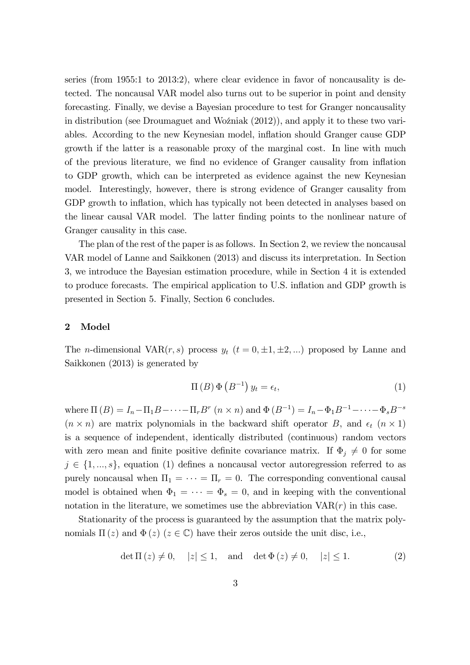series (from 1955:1 to 2013:2), where clear evidence in favor of noncausality is detected. The noncausal VAR model also turns out to be superior in point and density forecasting. Finally, we devise a Bayesian procedure to test for Granger noncausality in distribution (see Droumaguet and Wozniak  $(2012)$ ), and apply it to these two variables. According to the new Keynesian model, ináation should Granger cause GDP growth if the latter is a reasonable proxy of the marginal cost. In line with much of the previous literature, we find no evidence of Granger causality from inflation to GDP growth, which can be interpreted as evidence against the new Keynesian model. Interestingly, however, there is strong evidence of Granger causality from GDP growth to inflation, which has typically not been detected in analyses based on the linear causal VAR model. The latter finding points to the nonlinear nature of Granger causality in this case.

The plan of the rest of the paper is as follows. In Section 2, we review the noncausal VAR model of Lanne and Saikkonen (2013) and discuss its interpretation. In Section 3, we introduce the Bayesian estimation procedure, while in Section 4 it is extended to produce forecasts. The empirical application to U.S. ináation and GDP growth is presented in Section 5. Finally, Section 6 concludes.

#### 2 Model

The *n*-dimensional VAR(*r*, *s*) process  $y_t$  ( $t = 0, \pm 1, \pm 2, ...$ ) proposed by Lanne and Saikkonen (2013) is generated by

$$
\Pi(B)\,\Phi(B^{-1})\,y_t = \epsilon_t,\tag{1}
$$

where  $\Pi(B) = I_n - \Pi_1 B - \cdots - \Pi_r B^r$   $(n \times n)$  and  $\Phi(B^{-1}) = I_n - \Phi_1 B^{-1} - \cdots - \Phi_s B^{-s}$  $(n \times n)$  are matrix polynomials in the backward shift operator B, and  $\epsilon_t$   $(n \times 1)$ is a sequence of independent, identically distributed (continuous) random vectors with zero mean and finite positive definite covariance matrix. If  $\Phi_i \neq 0$  for some  $j \in \{1, ..., s\}$ , equation (1) defines a noncausal vector autoregression referred to as purely noncausal when  $\Pi_1 = \cdots = \Pi_r = 0$ . The corresponding conventional causal model is obtained when  $\Phi_1 = \cdots = \Phi_s = 0$ , and in keeping with the conventional notation in the literature, we sometimes use the abbreviation  $VAR(r)$  in this case.

Stationarity of the process is guaranteed by the assumption that the matrix polynomials  $\Pi(z)$  and  $\Phi(z)$  ( $z \in \mathbb{C}$ ) have their zeros outside the unit disc, i.e.,

$$
det \Pi(z) \neq 0
$$
,  $|z| \leq 1$ , and  $det \Phi(z) \neq 0$ ,  $|z| \leq 1$ . (2)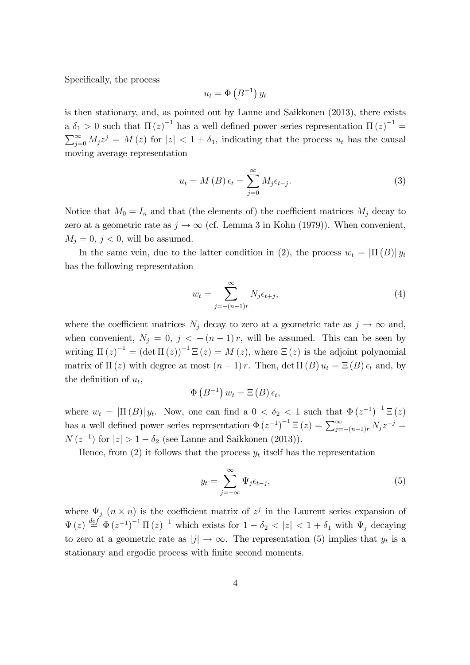Specifically, the process

$$
u_t = \Phi\left(B^{-1}\right) y_t
$$

is then stationary, and, as pointed out by Lanne and Saikkonen (2013), there exists a  $\delta_1 > 0$  such that  $\Pi(z)^{-1}$  has a well defined power series representation  $\Pi(z)^{-1} =$  $\sum_{j=0}^{\infty} M_j z^j = M(z)$  for  $|z| < 1 + \delta_1$ , indicating that the process  $u_t$  has the causal moving average representation

$$
u_t = M(B) \epsilon_t = \sum_{j=0}^{\infty} M_j \epsilon_{t-j}.
$$
 (3)

Notice that  $M_0 = I_n$  and that (the elements of) the coefficient matrices  $M_i$  decay to zero at a geometric rate as  $j \to \infty$  (cf. Lemma 3 in Kohn (1979)). When convenient,  $M_j = 0, j < 0$ , will be assumed.

In the same vein, due to the latter condition in (2), the process  $w_t = |\Pi(B)| y_t$ has the following representation

$$
w_t = \sum_{j=-(n-1)r}^{\infty} N_j \epsilon_{t+j},\tag{4}
$$

where the coefficient matrices  $N_i$  decay to zero at a geometric rate as  $j \to \infty$  and, when convenient,  $N_j = 0$ ,  $j < -(n-1)r$ , will be assumed. This can be seen by writing  $\Pi(z)^{-1} = (\det \Pi(z))^{-1} \Xi(z) = M(z)$ , where  $\Xi(z)$  is the adjoint polynomial matrix of  $\Pi(z)$  with degree at most  $(n-1) r$ . Then, det  $\Pi(B) u_t = \Xi(B) \epsilon_t$  and, by the definition of  $u_t$ ,

$$
\Phi\left(B^{-1}\right)w_t = \Xi\left(B\right)\epsilon_t,
$$

where  $w_t = |\Pi(B)| y_t$ . Now, one can find a  $0 < \delta_2 < 1$  such that  $\Phi(z^{-1})^{-1} \Xi(z)$ has a well defined power series representation  $\Phi(z^{-1})^{-1} \Xi(z) = \sum_{j=-n-1}^{\infty} N_j z^{-j} =$  $N(z^{-1})$  for  $|z| > 1 - \delta_2$  (see Lanne and Saikkonen (2013)).

Hence, from (2) it follows that the process  $y_t$  itself has the representation

$$
y_t = \sum_{j=-\infty}^{\infty} \Psi_j \epsilon_{t-j},\tag{5}
$$

where  $\Psi_j$   $(n \times n)$  is the coefficient matrix of  $z^j$  in the Laurent series expansion of  $\Psi(z) \stackrel{def}{=} \Phi(z^{-1})^{-1} \Pi(z)^{-1}$  which exists for  $1 - \delta_2 < |z| < 1 + \delta_1$  with  $\Psi_j$  decaying to zero at a geometric rate as  $|j| \to \infty$ . The representation (5) implies that  $y_t$  is a stationary and ergodic process with finite second moments.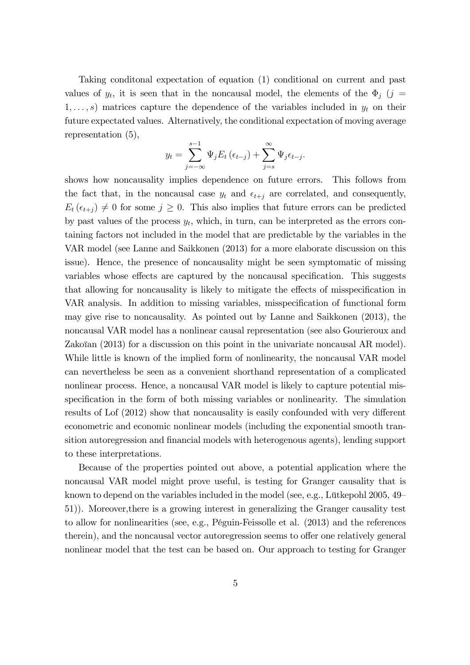Taking conditonal expectation of equation (1) conditional on current and past values of  $y_t$ , it is seen that in the noncausal model, the elements of the  $\Phi_j$  (j =  $1, \ldots, s$  matrices capture the dependence of the variables included in  $y_t$  on their future expectated values. Alternatively, the conditional expectation of moving average representation (5),

$$
y_t = \sum_{j=-\infty}^{s-1} \Psi_j E_t \left( \epsilon_{t-j} \right) + \sum_{j=s}^{\infty} \Psi_j \epsilon_{t-j}.
$$

shows how noncausality implies dependence on future errors. This follows from the fact that, in the noncausal case  $y_t$  and  $\epsilon_{t+j}$  are correlated, and consequently,  $E_t(\epsilon_{t+j}) \neq 0$  for some  $j \geq 0$ . This also implies that future errors can be predicted by past values of the process  $y_t$ , which, in turn, can be interpreted as the errors containing factors not included in the model that are predictable by the variables in the VAR model (see Lanne and Saikkonen (2013) for a more elaborate discussion on this issue). Hence, the presence of noncausality might be seen symptomatic of missing variables whose effects are captured by the noncausal specification. This suggests that allowing for noncausality is likely to mitigate the effects of misspecification in VAR analysis. In addition to missing variables, misspecification of functional form may give rise to noncausality. As pointed out by Lanne and Saikkonen (2013), the noncausal VAR model has a nonlinear causal representation (see also Gourieroux and Zakoïan  $(2013)$  for a discussion on this point in the univariate noncausal AR model). While little is known of the implied form of nonlinearity, the noncausal VAR model can nevertheless be seen as a convenient shorthand representation of a complicated nonlinear process. Hence, a noncausal VAR model is likely to capture potential misspecification in the form of both missing variables or nonlinearity. The simulation results of Lof  $(2012)$  show that noncausality is easily confounded with very different econometric and economic nonlinear models (including the exponential smooth transition autoregression and financial models with heterogenous agents), lending support to these interpretations.

Because of the properties pointed out above, a potential application where the noncausal VAR model might prove useful, is testing for Granger causality that is known to depend on the variables included in the model (see, e.g., Lütkepohl  $2005, 49<sup>-</sup>$ </sup> 51)). Moreover,there is a growing interest in generalizing the Granger causality test to allow for nonlinearities (see, e.g., PÈguin-Feissolle et al. (2013) and the references therein), and the noncausal vector autoregression seems to offer one relatively general nonlinear model that the test can be based on. Our approach to testing for Granger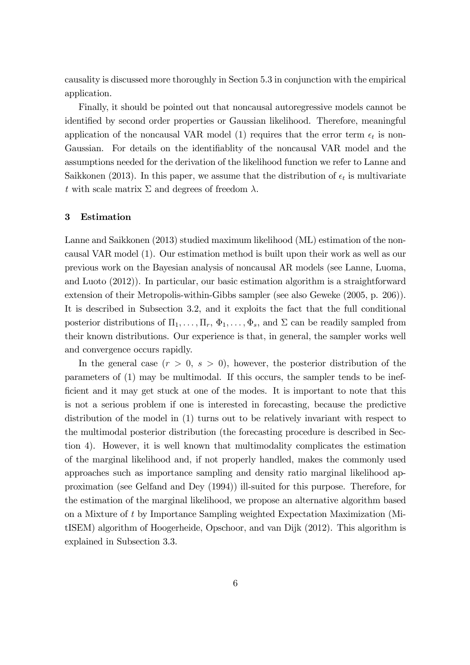causality is discussed more thoroughly in Section 5.3 in conjunction with the empirical application.

Finally, it should be pointed out that noncausal autoregressive models cannot be identified by second order properties or Gaussian likelihood. Therefore, meaningful application of the noncausal VAR model (1) requires that the error term  $\epsilon_t$  is non-Gaussian. For details on the identifiablity of the noncausal VAR model and the assumptions needed for the derivation of the likelihood function we refer to Lanne and Saikkonen (2013). In this paper, we assume that the distribution of  $\epsilon_t$  is multivariate t with scale matrix  $\Sigma$  and degrees of freedom  $\lambda$ .

#### 3 Estimation

Lanne and Saikkonen (2013) studied maximum likelihood (ML) estimation of the noncausal VAR model (1). Our estimation method is built upon their work as well as our previous work on the Bayesian analysis of noncausal AR models (see Lanne, Luoma, and Luoto (2012)). In particular, our basic estimation algorithm is a straightforward extension of their Metropolis-within-Gibbs sampler (see also Geweke (2005, p. 206)). It is described in Subsection 3.2, and it exploits the fact that the full conditional posterior distributions of  $\Pi_1, \ldots, \Pi_r, \Phi_1, \ldots, \Phi_s$ , and  $\Sigma$  can be readily sampled from their known distributions. Our experience is that, in general, the sampler works well and convergence occurs rapidly.

In the general case  $(r > 0, s > 0)$ , however, the posterior distribution of the parameters of (1) may be multimodal. If this occurs, the sampler tends to be inefficient and it may get stuck at one of the modes. It is important to note that this is not a serious problem if one is interested in forecasting, because the predictive distribution of the model in (1) turns out to be relatively invariant with respect to the multimodal posterior distribution (the forecasting procedure is described in Section 4). However, it is well known that multimodality complicates the estimation of the marginal likelihood and, if not properly handled, makes the commonly used approaches such as importance sampling and density ratio marginal likelihood approximation (see Gelfand and Dey (1994)) ill-suited for this purpose. Therefore, for the estimation of the marginal likelihood, we propose an alternative algorithm based on a Mixture of t by Importance Sampling weighted Expectation Maximization (MitISEM) algorithm of Hoogerheide, Opschoor, and van Dijk (2012). This algorithm is explained in Subsection 3.3.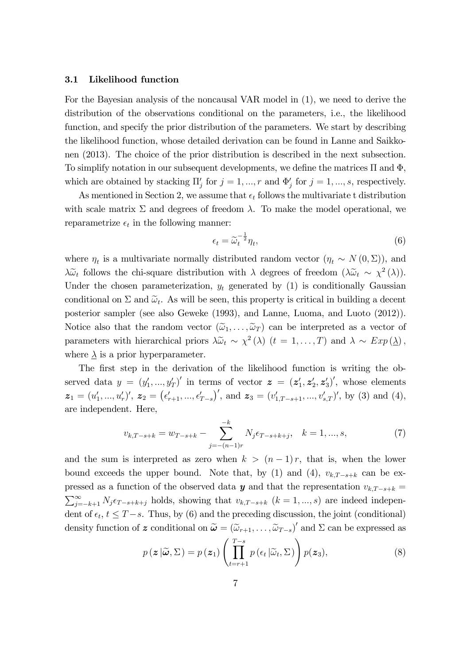#### 3.1 Likelihood function

For the Bayesian analysis of the noncausal VAR model in (1), we need to derive the distribution of the observations conditional on the parameters, i.e., the likelihood function, and specify the prior distribution of the parameters. We start by describing the likelihood function, whose detailed derivation can be found in Lanne and Saikkonen (2013). The choice of the prior distribution is described in the next subsection. To simplify notation in our subsequent developments, we define the matrices  $\Pi$  and  $\Phi$ , which are obtained by stacking  $\Pi'_j$  for  $j = 1, ..., r$  and  $\Phi'_j$  for  $j = 1, ..., s$ , respectively.

As mentioned in Section 2, we assume that  $\epsilon_t$  follows the multivariate t distribution with scale matrix  $\Sigma$  and degrees of freedom  $\lambda$ . To make the model operational, we reparametrize  $\epsilon_t$  in the following manner:

$$
\epsilon_t = \widetilde{\omega}_t^{-\frac{1}{2}} \eta_t,\tag{6}
$$

where  $\eta_t$  is a multivariate normally distributed random vector  $(\eta_t \sim N(0, \Sigma))$ , and  $\lambda \tilde{\omega}_t$  follows the chi-square distribution with  $\lambda$  degrees of freedom  $(\lambda \tilde{\omega}_t \sim \chi^2(\lambda)).$ Under the chosen parameterization,  $y_t$  generated by (1) is conditionally Gaussian conditional on  $\Sigma$  and  $\tilde{\omega}_t$ . As will be seen, this property is critical in building a decent posterior sampler (see also Geweke (1993), and Lanne, Luoma, and Luoto (2012)). Notice also that the random vector  $(\tilde{\omega}_1, \ldots, \tilde{\omega}_T)$  can be interpreted as a vector of parameters with hierarchical priors  $\lambda \tilde{\omega}_t \sim \chi^2(\lambda)$   $(t = 1, ..., T)$  and  $\lambda \sim Exp(\underline{\lambda})$ , where  $\lambda$  is a prior hyperparameter.

The first step in the derivation of the likelihood function is writing the observed data  $y = (y'_1, ..., y'_T)'$  in terms of vector  $\boldsymbol{z} = (z'_1, z'_2, z'_3)'$ , whose elements  $\boldsymbol{z}_1 = (u'_1, ..., u'_r)', \ \boldsymbol{z}_2 = (\epsilon'_{r+1}, ..., \epsilon'_{T-s})', \text{ and } \ \boldsymbol{z}_3 = (v'_{1,T-s+1}, ..., v'_{s,T})', \text{ by (3) and (4)},$ are independent. Here,

$$
v_{k,T-s+k} = w_{T-s+k} - \sum_{j=-(n-1)r}^{-k} N_j \epsilon_{T-s+k+j}, \quad k = 1, ..., s,
$$
 (7)

and the sum is interpreted as zero when  $k > (n-1)r$ , that is, when the lower bound exceeds the upper bound. Note that, by (1) and (4),  $v_{k,T-s+k}$  can be expressed as a function of the observed data  $y$  and that the representation  $v_{k,T-s+k}$  =  $\sum_{j=-k+1}^{\infty} N_j \epsilon_{T-s+k+j}$  holds, showing that  $v_{k,T-s+k}$   $(k = 1, ..., s)$  are indeed independent of  $\epsilon_t$ ,  $t \leq T - s$ . Thus, by (6) and the preceding discussion, the joint (conditional) density function of  $\boldsymbol{z}$  conditional on  $\boldsymbol{\tilde{\omega}} = (\tilde{\omega}_{r+1}, \dots, \tilde{\omega}_{T-s})'$  and  $\Sigma$  can be expressed as

$$
p(\boldsymbol{z}|\widetilde{\boldsymbol{\omega}}, \Sigma) = p(\boldsymbol{z}_1) \left( \prod_{t=r+1}^{T-s} p(\epsilon_t | \widetilde{\omega}_t, \Sigma) \right) p(\boldsymbol{z}_3), \tag{8}
$$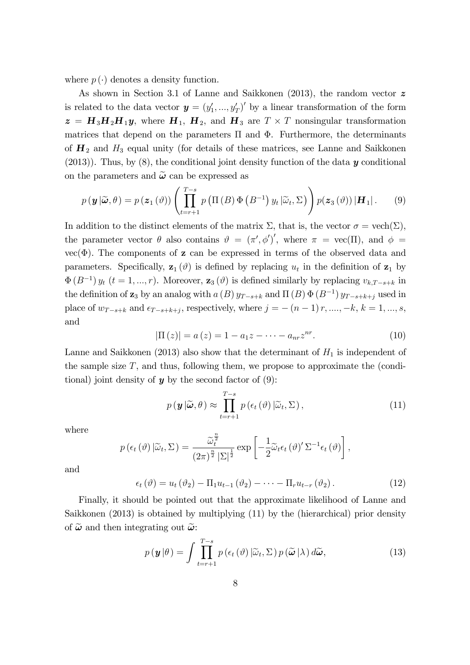where  $p(\cdot)$  denotes a density function.

As shown in Section 3.1 of Lanne and Saikkonen (2013), the random vector z is related to the data vector  $y = (y'_1, ..., y'_T)'$  by a linear transformation of the form  $\boldsymbol{z} = \boldsymbol{H}_3 \boldsymbol{H}_2 \boldsymbol{H}_1 \boldsymbol{y}$ , where  $\boldsymbol{H}_1$ ,  $\boldsymbol{H}_2$ , and  $\boldsymbol{H}_3$  are  $T \times T$  nonsingular transformation matrices that depend on the parameters  $\Pi$  and  $\Phi$ . Furthermore, the determinants of  $H_2$  and  $H_3$  equal unity (for details of these matrices, see Lanne and Saikkonen  $(2013)$ ). Thus, by  $(8)$ , the conditional joint density function of the data y conditional on the parameters and  $\tilde{\omega}$  can be expressed as

$$
p(\mathbf{y}|\widetilde{\boldsymbol{\omega}},\theta) = p(\mathbf{z}_1(\vartheta)) \left( \prod_{t=r+1}^{T-s} p\left( \Pi\left(B\right) \Phi\left(B^{-1}\right) y_t | \widetilde{\omega}_t, \Sigma \right) \right) p(\mathbf{z}_3(\vartheta)) |\mathbf{H}_1|. \qquad (9)
$$

In addition to the distinct elements of the matrix  $\Sigma$ , that is, the vector  $\sigma = \text{vech}(\Sigma)$ , the parameter vector  $\theta$  also contains  $\theta = (\pi', \phi')'$ , where  $\pi = \text{vec}(\Pi)$ , and  $\phi =$  $vec(\Phi)$ . The components of **z** can be expressed in terms of the observed data and parameters. Specifically,  $z_1(\theta)$  is defined by replacing  $u_t$  in the definition of  $z_1$  by  $\Phi(B^{-1}) y_t$   $(t = 1, ..., r)$ . Moreover,  $\mathbf{z}_3(\theta)$  is defined similarly by replacing  $v_{k,T-s+k}$  in the definition of  $z_3$  by an analog with  $a(B) y_{T-s+k}$  and  $\Pi(B) \Phi(B^{-1}) y_{T-s+k+j}$  used in place of  $w_{T-s+k}$  and  $\epsilon_{T-s+k+j}$ , respectively, where  $j = -(n-1)r, ..., -k, k = 1, ..., s$ , and

$$
|\Pi(z)| = a(z) = 1 - a_1 z - \dots - a_{nr} z^{nr}.
$$
 (10)

Lanne and Saikkonen (2013) also show that the determinant of  $H_1$  is independent of the sample size  $T$ , and thus, following them, we propose to approximate the (conditional) joint density of  $y$  by the second factor of (9):

$$
p(\mathbf{y}|\widetilde{\boldsymbol{\omega}}, \theta) \approx \prod_{t=r+1}^{T-s} p(\epsilon_t(\theta) | \widetilde{\omega}_t, \Sigma),
$$
\n(11)

where

$$
p(\epsilon_t(\vartheta) | \widetilde{\omega}_t, \Sigma) = \frac{\widetilde{\omega}_t^{\frac{n}{2}}}{(2\pi)^{\frac{n}{2}} |\Sigma|^{\frac{1}{2}}} \exp \left[ -\frac{1}{2} \widetilde{\omega}_t \epsilon_t(\vartheta)' \Sigma^{-1} \epsilon_t(\vartheta) \right],
$$

and

$$
\epsilon_t\left(\vartheta\right) = u_t\left(\vartheta_2\right) - \Pi_1 u_{t-1}\left(\vartheta_2\right) - \dots - \Pi_r u_{t-r}\left(\vartheta_2\right). \tag{12}
$$

Finally, it should be pointed out that the approximate likelihood of Lanne and Saikkonen (2013) is obtained by multiplying (11) by the (hierarchical) prior density of  $\tilde{\omega}$  and then integrating out  $\tilde{\omega}$ :

$$
p(\mathbf{y}|\theta) = \int \prod_{t=r+1}^{T-s} p(\epsilon_t(\vartheta) | \widetilde{\omega}_t, \Sigma) p(\widetilde{\boldsymbol{\omega}} | \lambda) d\widetilde{\boldsymbol{\omega}},
$$
\n(13)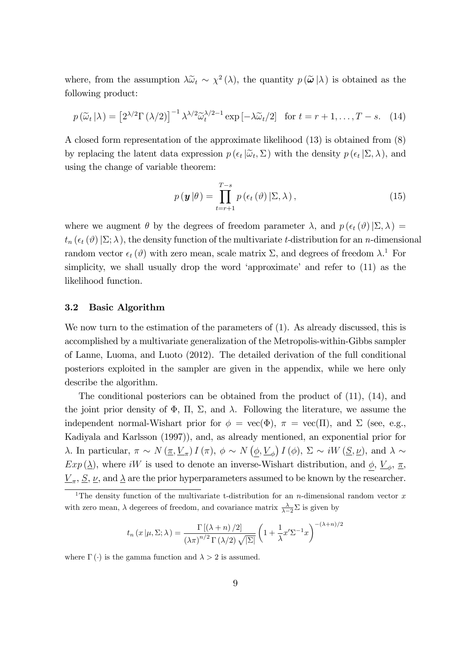where, from the assumption  $\lambda \tilde{\omega}_t \sim \chi^2(\lambda)$ , the quantity  $p(\tilde{\omega}|\lambda)$  is obtained as the following product:

$$
p(\widetilde{\omega}_t|\lambda) = \left[2^{\lambda/2}\Gamma(\lambda/2)\right]^{-1} \lambda^{\lambda/2} \widetilde{\omega}_t^{\lambda/2-1} \exp\left[-\lambda \widetilde{\omega}_t/2\right] \text{ for } t = r+1,\dots,T-s. \quad (14)
$$

A closed form representation of the approximate likelihood (13) is obtained from (8) by replacing the latent data expression  $p(\epsilon_t | \tilde{\omega}_t, \Sigma)$  with the density  $p(\epsilon_t | \Sigma, \lambda)$ , and using the change of variable theorem:

$$
p(\mathbf{y}|\theta) = \prod_{t=r+1}^{T-s} p(\epsilon_t(\vartheta) | \Sigma, \lambda), \qquad (15)
$$

where we augment  $\theta$  by the degrees of freedom parameter  $\lambda$ , and  $p(\epsilon_t(\vartheta)|\Sigma,\lambda) =$  $t_n(\epsilon_t(\vartheta)|\Sigma;\lambda)$ , the density function of the multivariate t-distribution for an n-dimensional random vector  $\epsilon_t(\vartheta)$  with zero mean, scale matrix  $\Sigma$ , and degrees of freedom  $\lambda$ <sup>1</sup>. For simplicity, we shall usually drop the word 'approximate' and refer to  $(11)$  as the likelihood function.

#### 3.2 Basic Algorithm

We now turn to the estimation of the parameters of (1). As already discussed, this is accomplished by a multivariate generalization of the Metropolis-within-Gibbs sampler of Lanne, Luoma, and Luoto (2012). The detailed derivation of the full conditional posteriors exploited in the sampler are given in the appendix, while we here only describe the algorithm.

The conditional posteriors can be obtained from the product of (11), (14), and the joint prior density of  $\Phi$ ,  $\Pi$ ,  $\Sigma$ , and  $\lambda$ . Following the literature, we assume the independent normal-Wishart prior for  $\phi = \text{vec}(\Phi)$ ,  $\pi = \text{vec}(\Pi)$ , and  $\Sigma$  (see, e.g., Kadiyala and Karlsson (1997)), and, as already mentioned, an exponential prior for  $\lambda$ . In particular,  $\pi \sim N(\underline{\pi}, \underline{V}_{\pi}) I(\pi)$ ,  $\phi \sim N(\underline{\phi}, \underline{V}_{\phi}) I(\phi)$ ,  $\Sigma \sim iW(\underline{S}, \underline{\nu})$ , and  $\lambda \sim$  $Exp(\underline{\lambda})$ , where *iW* is used to denote an inverse-Wishart distribution, and  $\underline{\phi}$ ,  $\underline{V}_{\phi}$ ,  $\underline{\pi}$ ,  $\underline{V}_{\pi}$ ,  $\underline{S}$ ,  $\underline{\nu}$ , and  $\underline{\lambda}$  are the prior hyperparameters assumed to be known by the researcher.

$$
t_n(x|\mu, \Sigma; \lambda) = \frac{\Gamma[(\lambda + n)/2]}{(\lambda \pi)^{n/2} \Gamma(\lambda/2) \sqrt{|\Sigma|}} \left(1 + \frac{1}{\lambda} x' \Sigma^{-1} x\right)^{-(\lambda + n)/2}
$$

where  $\Gamma(\cdot)$  is the gamma function and  $\lambda > 2$  is assumed.

<sup>&</sup>lt;sup>1</sup>The density function of the multivariate t-distribution for an *n*-dimensional random vector x with zero mean,  $\lambda$  degerees of freedom, and covariance matrix  $\frac{\lambda}{\lambda-2}\Sigma$  is given by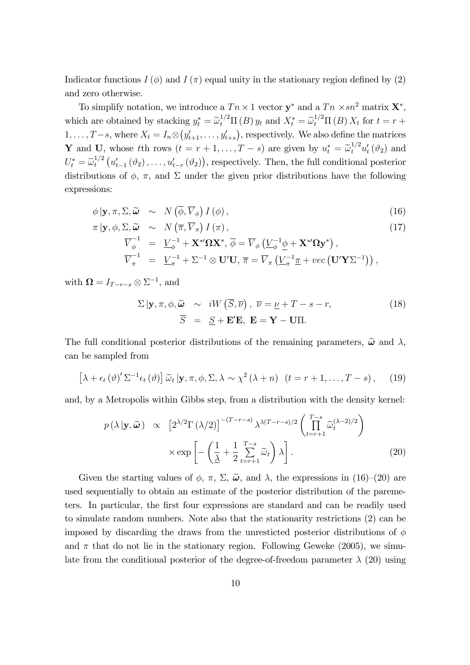Indicator functions  $I(\phi)$  and  $I(\pi)$  equal unity in the stationary region defined by (2) and zero otherwise.

To simplify notation, we introduce a  $Tn \times 1$  vector  $y^*$  and a  $Tn \times sn^2$  matrix  $X^*$ , which are obtained by stacking  $y_t^* = \tilde{\omega}_t^{1/2} \Pi(B) y_t$  and  $X_t^* = \tilde{\omega}_t^{1/2} \Pi(B) X_t$  for  $t = r + \tilde{\omega}_t^{1/2} \Pi(B) X_t$  $1, \ldots, T-s$ , where  $X_t = I_n \otimes (y'_{t+1}, \ldots, y'_{t+s})$ , respectively. We also define the matrices Y and U, whose tth rows  $(t = r + 1, \ldots, T - s)$  are given by  $u_t^* = \tilde{\omega}_t^{1/2} u_t'(\vartheta_2)$  and  $U_t^* = \widetilde{\omega}_t^{1/2}$  $u_t^{1/2}\left(u'_{t-1}\left(\vartheta_2\right),\ldots,u'_{t-r}\left(\vartheta_2\right)\right)$ , respectively. Then, the full conditional posterior distributions of  $\phi$ ,  $\pi$ , and  $\Sigma$  under the given prior distributions have the following expressions:

$$
\phi | \mathbf{y}, \pi, \Sigma, \widetilde{\boldsymbol{\omega}} \sim N \left( \overline{\phi}, \overline{V}_{\phi} \right) I \left( \phi \right), \tag{16}
$$

$$
\pi | \mathbf{y}, \phi, \Sigma, \widetilde{\boldsymbol{\omega}} \sim N \left( \overline{\pi}, \overline{V}_{\pi} \right) I \left( \pi \right), \tag{17}
$$
\n
$$
\overline{V}_{\phi}^{-1} = \underline{V}_{\phi}^{-1} + \mathbf{X}^{*'} \Omega \mathbf{X}^{*}, \overline{\phi} = \overline{V}_{\phi} \left( \underline{V}_{\phi}^{-1} \phi + \mathbf{X}^{*'} \Omega \mathbf{y}^{*} \right), \qquad \overline{V}_{\pi}^{-1} = \underline{V}_{\pi}^{-1} + \Sigma^{-1} \otimes \mathbf{U}' \mathbf{U}, \overline{\pi} = \overline{V}_{\pi} \left( \underline{V}_{\pi}^{-1} \underline{\pi} + vec \left( \mathbf{U}' \mathbf{Y} \Sigma^{-1} \right) \right),
$$

with  $\mathbf{\Omega} = I_{T-r-s} \otimes \Sigma^{-1}$ , and

$$
\Sigma | \mathbf{y}, \pi, \phi, \widetilde{\boldsymbol{\omega}} \sim iW(\overline{S}, \overline{\nu}), \ \overline{\nu} = \underline{\nu} + T - s - r,
$$
\n
$$
\overline{S} = \underline{S} + \mathbf{E}'\mathbf{E}, \ \mathbf{E} = \mathbf{Y} - \mathbf{U}\Pi.
$$
\n(18)

The full conditional posterior distributions of the remaining parameters,  $\tilde{\omega}$  and  $\lambda$ , can be sampled from

$$
\left[\lambda + \epsilon_t \left(\vartheta\right)' \Sigma^{-1} \epsilon_t \left(\vartheta\right)\right] \widetilde{\omega}_t \left| \mathbf{y}, \pi, \phi, \Sigma, \lambda \sim \chi^2 \left(\lambda + n\right) \left(t = r + 1, \ldots, T - s\right), \tag{19}
$$

and, by a Metropolis within Gibbs step, from a distribution with the density kernel:

$$
p(\lambda | \mathbf{y}, \widetilde{\boldsymbol{\omega}}) \propto \left[2^{\lambda/2} \Gamma(\lambda/2)\right]^{-(T-r-s)} \lambda^{\lambda(T-r-s)/2} \left(\prod_{t=r+1}^{T-s} \widetilde{\omega}_t^{(\lambda-2)/2}\right) \times \exp\left[-\left(\frac{1}{\lambda} + \frac{1}{2} \sum_{t=r+1}^{T-s} \widetilde{\omega}_t\right) \lambda\right].
$$
\n(20)

Given the starting values of  $\phi$ ,  $\pi$ ,  $\Sigma$ ,  $\tilde{\omega}$ , and  $\lambda$ , the expressions in (16)–(20) are used sequentially to obtain an estimate of the posterior distribution of the paremeters. In particular, the Örst four expressions are standard and can be readily used to simulate random numbers. Note also that the stationarity restrictions (2) can be imposed by discarding the draws from the unresticted posterior distributions of  $\phi$ and  $\pi$  that do not lie in the stationary region. Following Geweke (2005), we simulate from the conditional posterior of the degree-of-freedom parameter  $\lambda$  (20) using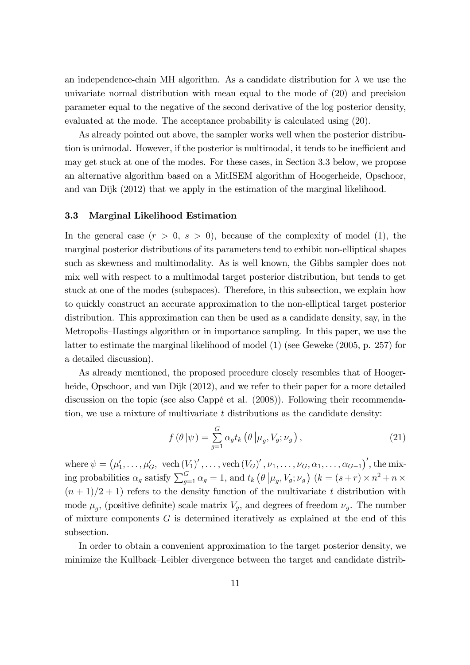an independence-chain MH algorithm. As a candidate distribution for  $\lambda$  we use the univariate normal distribution with mean equal to the mode of (20) and precision parameter equal to the negative of the second derivative of the log posterior density, evaluated at the mode. The acceptance probability is calculated using (20).

As already pointed out above, the sampler works well when the posterior distribution is unimodal. However, if the posterior is multimodal, it tends to be inefficient and may get stuck at one of the modes. For these cases, in Section 3.3 below, we propose an alternative algorithm based on a MitISEM algorithm of Hoogerheide, Opschoor, and van Dijk (2012) that we apply in the estimation of the marginal likelihood.

#### 3.3 Marginal Likelihood Estimation

In the general case  $(r > 0, s > 0)$ , because of the complexity of model (1), the marginal posterior distributions of its parameters tend to exhibit non-elliptical shapes such as skewness and multimodality. As is well known, the Gibbs sampler does not mix well with respect to a multimodal target posterior distribution, but tends to get stuck at one of the modes (subspaces). Therefore, in this subsection, we explain how to quickly construct an accurate approximation to the non-elliptical target posterior distribution. This approximation can then be used as a candidate density, say, in the Metropolis–Hastings algorithm or in importance sampling. In this paper, we use the latter to estimate the marginal likelihood of model (1) (see Geweke (2005, p. 257) for a detailed discussion).

As already mentioned, the proposed procedure closely resembles that of Hoogerheide, Opschoor, and van Dijk (2012), and we refer to their paper for a more detailed discussion on the topic (see also Cappé et al. (2008)). Following their recommendation, we use a mixture of multivariate  $t$  distributions as the candidate density:

$$
f(\theta|\psi) = \sum_{g=1}^{G} \alpha_g t_k (\theta | \mu_g, V_g; \nu_g), \qquad (21)
$$

where  $\psi = (\mu'_1, \ldots, \mu'_G, \text{ vech } (V_1)', \ldots, \text{vech } (V_G)', \nu_1, \ldots, \nu_G, \alpha_1, \ldots, \alpha_{G-1})'$ , the mixing probabilities  $\alpha_g$  satisfy  $\sum_{g=1}^G \alpha_g = 1$ , and  $t_k(\theta | \mu_g, V_g; \nu_g)$   $(k = (s + r) \times n^2 + n \times$  $(n + 1)/2 + 1$  refers to the density function of the multivariate t distribution with mode  $\mu_g$ , (positive definite) scale matrix  $V_g$ , and degrees of freedom  $\nu_g$ . The number of mixture components  $G$  is determined iteratively as explained at the end of this subsection.

In order to obtain a convenient approximation to the target posterior density, we minimize the Kullback–Leibler divergence between the target and candidate distrib-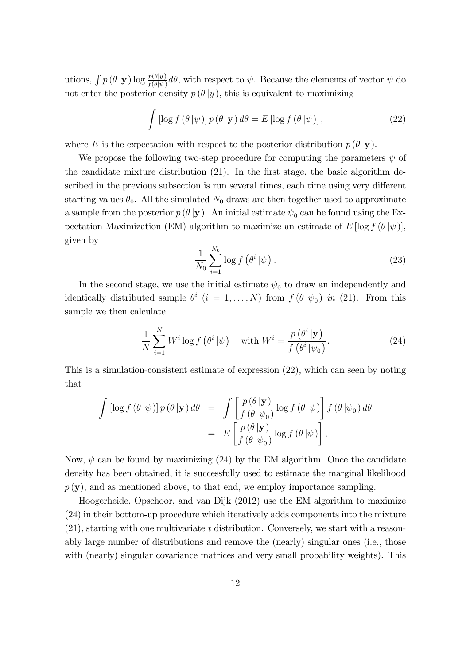utions,  $\int p(\theta | \mathbf{y}) \log \frac{p(\theta | y)}{f(\theta | \psi)} d\theta$ , with respect to  $\psi$ . Because the elements of vector  $\psi$  do not enter the posterior density  $p(\theta | y)$ , this is equivalent to maximizing

$$
\int \left[ \log f\left(\theta \,|\psi\right) \right] p\left(\theta \,|\mathbf{y}\right) d\theta = E \left[ \log f\left(\theta \,|\psi\right) \right],\tag{22}
$$

where E is the expectation with respect to the posterior distribution  $p(\theta | y)$ .

We propose the following two-step procedure for computing the parameters  $\psi$  of the candidate mixture distribution  $(21)$ . In the first stage, the basic algorithm described in the previous subsection is run several times, each time using very different starting values  $\theta_0$ . All the simulated  $N_0$  draws are then together used to approximate a sample from the posterior  $p(\theta | \mathbf{y})$ . An initial estimate  $\psi_0$  can be found using the Expectation Maximization (EM) algorithm to maximize an estimate of  $E \left[ \log f(\theta | \psi) \right]$ , given by

$$
\frac{1}{N_0} \sum_{i=1}^{N_0} \log f\left(\theta^i \,|\psi\right). \tag{23}
$$

In the second stage, we use the initial estimate  $\psi_0$  to draw an independently and identically distributed sample  $\theta^i$   $(i = 1, ..., N)$  from  $f(\theta | \psi_0)$  in (21). From this sample we then calculate

$$
\frac{1}{N} \sum_{i=1}^{N} W^i \log f\left(\theta^i \,|\psi\right) \quad \text{with } W^i = \frac{p\left(\theta^i \,|\mathbf{y}\right)}{f\left(\theta^i \,|\psi_0\right)}.\tag{24}
$$

This is a simulation-consistent estimate of expression (22), which can seen by noting that

$$
\int \left[ \log f(\theta | \psi) \right] p(\theta | \mathbf{y}) d\theta = \int \left[ \frac{p(\theta | \mathbf{y})}{f(\theta | \psi_0)} \log f(\theta | \psi) \right] f(\theta | \psi_0) d\theta
$$

$$
= E \left[ \frac{p(\theta | \mathbf{y})}{f(\theta | \psi_0)} \log f(\theta | \psi) \right],
$$

Now,  $\psi$  can be found by maximizing (24) by the EM algorithm. Once the candidate density has been obtained, it is successfully used to estimate the marginal likelihood  $p(\mathbf{y})$ , and as mentioned above, to that end, we employ importance sampling.

Hoogerheide, Opschoor, and van Dijk (2012) use the EM algorithm to maximize (24) in their bottom-up procedure which iteratively adds components into the mixture (21), starting with one multivariate t distribution. Conversely, we start with a reasonably large number of distributions and remove the (nearly) singular ones (i.e., those with (nearly) singular covariance matrices and very small probability weights). This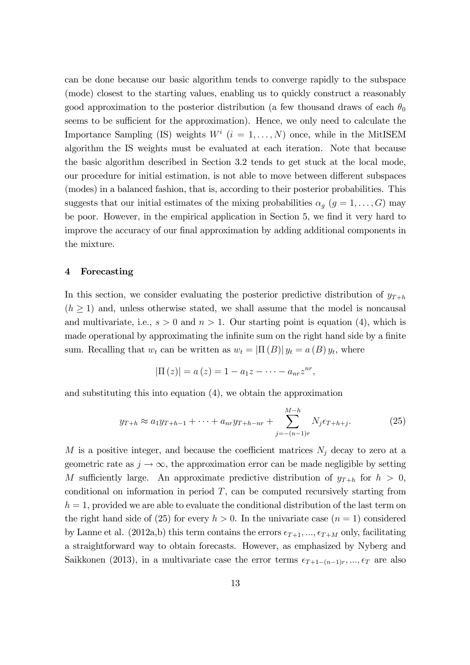can be done because our basic algorithm tends to converge rapidly to the subspace (mode) closest to the starting values, enabling us to quickly construct a reasonably good approximation to the posterior distribution (a few thousand draws of each  $\theta_0$ seems to be sufficient for the approximation). Hence, we only need to calculate the Importance Sampling (IS) weights  $W^i$   $(i = 1, ..., N)$  once, while in the MitISEM algorithm the IS weights must be evaluated at each iteration. Note that because the basic algorithm described in Section 3.2 tends to get stuck at the local mode, our procedure for initial estimation, is not able to move between different subspaces (modes) in a balanced fashion, that is, according to their posterior probabilities. This suggests that our initial estimates of the mixing probabilities  $\alpha_g$  ( $g = 1, \ldots, G$ ) may be poor. However, in the empirical application in Section 5, we find it very hard to improve the accuracy of our final approximation by adding additional components in the mixture.

#### 4 Forecasting

In this section, we consider evaluating the posterior predictive distribution of  $y_{T+h}$  $(h \geq 1)$  and, unless otherwise stated, we shall assume that the model is noncausal and multivariate, i.e.,  $s > 0$  and  $n > 1$ . Our starting point is equation (4), which is made operational by approximating the infinite sum on the right hand side by a finite sum. Recalling that  $w_t$  can be written as  $w_t = |\Pi(B)| y_t = a(B) y_t$ , where

$$
|\Pi(z)| = a(z) = 1 - a_1 z - \cdots - a_{nr} z^{nr},
$$

and substituting this into equation (4), we obtain the approximation

$$
y_{T+h} \approx a_1 y_{T+h-1} + \dots + a_{nr} y_{T+h-nr} + \sum_{j=-(n-1)r}^{M-h} N_j \epsilon_{T+h+j}.
$$
 (25)

M is a positive integer, and because the coefficient matrices  $N_j$  decay to zero at a geometric rate as  $j \to \infty$ , the approximation error can be made negligible by setting M sufficiently large. An approximate predictive distribution of  $y_{T+h}$  for  $h > 0$ , conditional on information in period  $T$ , can be computed recursively starting from  $h = 1$ , provided we are able to evaluate the conditional distribution of the last term on the right hand side of (25) for every  $h > 0$ . In the univariate case  $(n = 1)$  considered by Lanne et al. (2012a,b) this term contains the errors  $\epsilon_{T+1}, \ldots, \epsilon_{T+M}$  only, facilitating a straightforward way to obtain forecasts. However, as emphasized by Nyberg and Saikkonen (2013), in a multivariate case the error terms  $\epsilon_{T+1-(n-1)r}, ..., \epsilon_T$  are also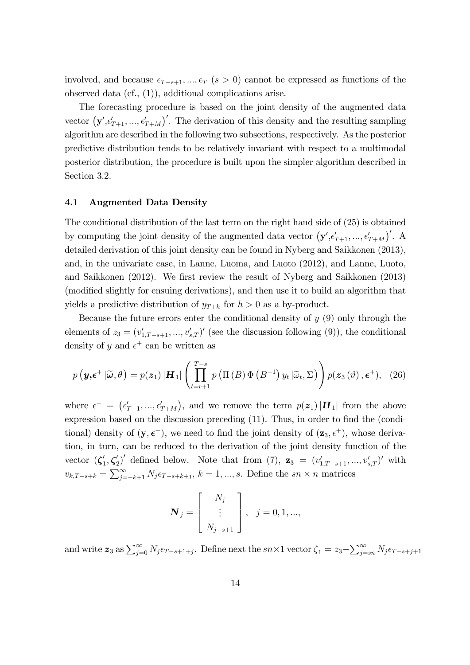involved, and because  $\epsilon_{T-s+1}, ..., \epsilon_T$  ( $s > 0$ ) cannot be expressed as functions of the observed data (cf., (1)), additional complications arise.

The forecasting procedure is based on the joint density of the augmented data vector  $(\mathbf{y}', \epsilon'_{T+1}, ..., \epsilon'_{T+M})'$ . The derivation of this density and the resulting sampling algorithm are described in the following two subsections, respectively. As the posterior predictive distribution tends to be relatively invariant with respect to a multimodal posterior distribution, the procedure is built upon the simpler algorithm described in Section 3.2.

#### 4.1 Augmented Data Density

The conditional distribution of the last term on the right hand side of (25) is obtained by computing the joint density of the augmented data vector  $(\mathbf{y}', \epsilon'_{T+1}, ..., \epsilon'_{T+M})'$ . A detailed derivation of this joint density can be found in Nyberg and Saikkonen (2013), and, in the univariate case, in Lanne, Luoma, and Luoto (2012), and Lanne, Luoto, and Saikkonen (2012). We first review the result of Nyberg and Saikkonen (2013) (modified slightly for ensuing derivations), and then use it to build an algorithm that yields a predictive distribution of  $y_{T+h}$  for  $h > 0$  as a by-product.

Because the future errors enter the conditional density of  $y(9)$  only through the elements of  $z_3 = (v'_{1,T-s+1},...,v'_{s,T})'$  (see the discussion following (9)), the conditional density of y and  $\epsilon^+$  can be written as

$$
p(\mathbf{y}, \boldsymbol{\epsilon}^+ | \tilde{\boldsymbol{\omega}}, \theta) = p(\mathbf{z}_1) |\mathbf{H}_1| \left( \prod_{t=r+1}^{T-s} p\left( \Pi\left(B\right) \Phi\left(B^{-1}\right) y_t | \tilde{\omega}_t, \Sigma\right) \right) p(\mathbf{z}_3(\theta), \boldsymbol{\epsilon}^+), \quad (26)
$$

where  $\epsilon^+ = (\epsilon'_{T+1}, ..., \epsilon'_{T+M})$ , and we remove the term  $p(\boldsymbol{z}_1) | \boldsymbol{H}_1$  from the above expression based on the discussion preceding  $(11)$ . Thus, in order to find the (conditional) density of  $(\mathbf{y}, \boldsymbol{\epsilon}^+)$ , we need to find the joint density of  $(\mathbf{z}_3, \epsilon^+)$ , whose derivation, in turn, can be reduced to the derivation of the joint density function of the vector  $(\zeta'_1, \zeta'_2)'$  defined below. Note that from (7),  $z_3 = (v'_{1,T-s+1}, ..., v'_{s,T})'$  with  $v_{k,T-s+k} = \sum_{j=-k+1}^{\infty} N_j \epsilon_{T-s+k+j}, k = 1, ..., s.$  Define the  $sn \times n$  matrices

$$
\boldsymbol{N}_j = \begin{bmatrix} N_j \\ \vdots \\ N_{j-s+1} \end{bmatrix}, \quad j = 0, 1, ...,
$$

and write  $z_3$  as  $\sum_{j=0}^{\infty} N_j \epsilon_{T-s+1+j}$ . Define next the  $sn \times 1$  vector  $\zeta_1 = z_3 - \sum_{j=sn}^{\infty} N_j \epsilon_{T-s+j+1}$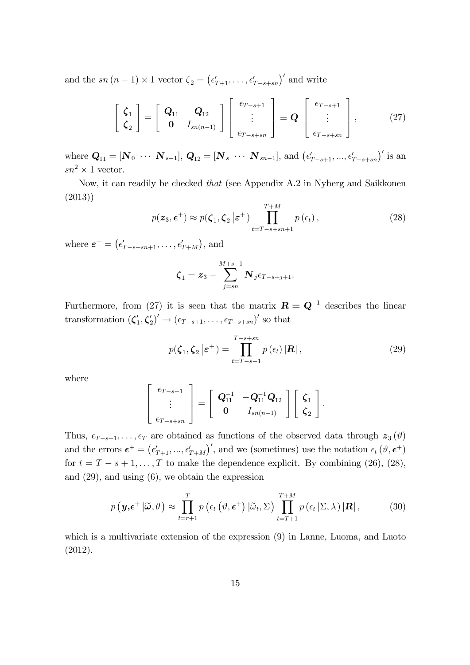and the sn  $(n-1) \times 1$  vector  $\zeta_2 = (\epsilon'_{T+1}, \ldots, \epsilon'_{T-s+sn})'$  and write

$$
\begin{bmatrix} \zeta_1 \\ \zeta_2 \end{bmatrix} = \begin{bmatrix} \mathbf{Q}_{11} & \mathbf{Q}_{12} \\ \mathbf{0} & I_{sn(n-1)} \end{bmatrix} \begin{bmatrix} \epsilon_{T-s+1} \\ \vdots \\ \epsilon_{T-s+sn} \end{bmatrix} \equiv \mathbf{Q} \begin{bmatrix} \epsilon_{T-s+1} \\ \vdots \\ \epsilon_{T-s+sn} \end{bmatrix}, \qquad (27)
$$

where  $\mathbf{Q}_{11} = [\mathbf{N}_0 \cdots \mathbf{N}_{s-1}], \mathbf{Q}_{12} = [\mathbf{N}_s \cdots \mathbf{N}_{sn-1}],$  and  $(\epsilon'_{T-s+1}, ..., \epsilon'_{T-s+sn})'$  is an  $sn^2 \times 1$  vector.

Now, it can readily be checked that (see Appendix A.2 in Nyberg and Saikkonen (2013))

$$
p(\boldsymbol{z}_3, \boldsymbol{\epsilon}^+) \approx p(\boldsymbol{\zeta}_1, \boldsymbol{\zeta}_2 \, | \boldsymbol{\epsilon}^+) \prod_{t=T-s+sn+1}^{T+M} p(\epsilon_t), \tag{28}
$$

where  $\boldsymbol{\varepsilon}^+ = (\epsilon'_{T-s+sn+1}, \ldots, \epsilon'_{T+M}),$  and

$$
\boldsymbol{\zeta}_{1}=\boldsymbol{z}_{3}-\sum_{j=sn}^{M+s-1}\boldsymbol{N}_{j}\epsilon_{T-s+j+1}.
$$

Furthermore, from (27) it is seen that the matrix  $\mathbf{R} = \mathbf{Q}^{-1}$  describes the linear transformation  $(\zeta_1', \zeta_2')' \to (\epsilon_{T-s+1}, \ldots, \epsilon_{T-s+sn})'$  so that

$$
p(\boldsymbol{\zeta}_1, \boldsymbol{\zeta}_2 \,|\boldsymbol{\varepsilon}^+) = \prod_{t=T-s+1}^{T-s+sn} p(\epsilon_t) |\mathbf{R}| \,, \tag{29}
$$

where

$$
\left[\begin{array}{c} \epsilon_{T-s+1} \\ \vdots \\ \epsilon_{T-s+sn} \end{array}\right] = \left[\begin{array}{cc} \mathbf{Q}_{11}^{-1} & -\mathbf{Q}_{11}^{-1}\mathbf{Q}_{12} \\ 0 & I_{sn(n-1)} \end{array}\right] \left[\begin{array}{c} \zeta_1 \\ \zeta_2 \end{array}\right].
$$

Thus,  $\epsilon_{T-s+1}, \ldots, \epsilon_T$  are obtained as functions of the observed data through  $z_3(\vartheta)$ and the errors  $\boldsymbol{\epsilon}^+ = (\epsilon'_{T+1}, ..., \epsilon'_{T+M})'$ , and we (sometimes) use the notation  $\epsilon_t (\vartheta, \boldsymbol{\epsilon}^+)$ for  $t = T - s + 1, \ldots, T$  to make the dependence explicit. By combining (26), (28), and (29), and using (6), we obtain the expression

$$
p\left(\mathbf{y},\boldsymbol{\epsilon}^+|\widetilde{\boldsymbol{\omega}},\theta\right) \approx \prod_{t=r+1}^T p\left(\epsilon_t\left(\vartheta,\boldsymbol{\epsilon}^+\right)|\widetilde{\omega}_t,\Sigma\right) \prod_{t=T+1}^{T+M} p\left(\epsilon_t\left|\Sigma,\lambda\right\rangle|\mathbf{R}|\,,\tag{30}
$$

which is a multivariate extension of the expression (9) in Lanne, Luoma, and Luoto (2012).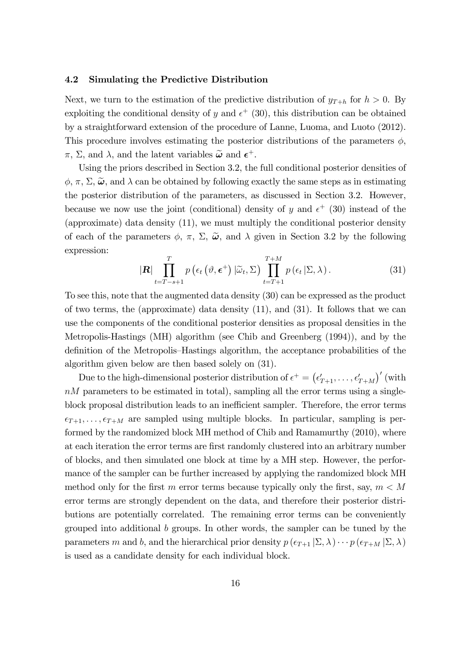#### 4.2 Simulating the Predictive Distribution

Next, we turn to the estimation of the predictive distribution of  $y_{T+h}$  for  $h > 0$ . By exploiting the conditional density of y and  $\epsilon^+$  (30), this distribution can be obtained by a straightforward extension of the procedure of Lanne, Luoma, and Luoto (2012). This procedure involves estimating the posterior distributions of the parameters  $\phi$ ,  $\pi$ ,  $\Sigma$ , and  $\lambda$ , and the latent variables  $\tilde{\boldsymbol{\omega}}$  and  $\boldsymbol{\epsilon}^+$ .

Using the priors described in Section 3.2, the full conditional posterior densities of  $\phi$ ,  $\pi$ ,  $\Sigma$ ,  $\tilde{\omega}$ , and  $\lambda$  can be obtained by following exactly the same steps as in estimating the posterior distribution of the parameters, as discussed in Section 3.2. However, because we now use the joint (conditional) density of y and  $\epsilon^+$  (30) instead of the (approximate) data density (11), we must multiply the conditional posterior density of each of the parameters  $\phi$ ,  $\pi$ ,  $\Sigma$ ,  $\tilde{\omega}$ , and  $\lambda$  given in Section 3.2 by the following expression:

$$
|\mathbf{R}| \prod_{t=T-s+1}^{T} p\left(\epsilon_t\left(\vartheta, \boldsymbol{\epsilon}^+\right) | \tilde{\omega}_t, \Sigma\right) \prod_{t=T+1}^{T+M} p\left(\epsilon_t | \Sigma, \lambda\right). \tag{31}
$$

To see this, note that the augmented data density (30) can be expressed as the product of two terms, the (approximate) data density (11), and (31). It follows that we can use the components of the conditional posterior densities as proposal densities in the Metropolis-Hastings (MH) algorithm (see Chib and Greenberg (1994)), and by the definition of the Metropolis–Hastings algorithm, the acceptance probabilities of the algorithm given below are then based solely on (31).

Due to the high-dimensional posterior distribution of  $\epsilon^+ = \left(\epsilon_{T+1}', \ldots, \epsilon_{T+M}'\right)'$  (with  $nM$  parameters to be estimated in total), sampling all the error terms using a singleblock proposal distribution leads to an inefficient sampler. Therefore, the error terms  $\epsilon_{T+1}, \ldots, \epsilon_{T+M}$  are sampled using multiple blocks. In particular, sampling is performed by the randomized block MH method of Chib and Ramamurthy (2010), where at each iteration the error terms are Örst randomly clustered into an arbitrary number of blocks, and then simulated one block at time by a MH step. However, the performance of the sampler can be further increased by applying the randomized block MH method only for the first m error terms because typically only the first, say,  $m < M$ error terms are strongly dependent on the data, and therefore their posterior distributions are potentially correlated. The remaining error terms can be conveniently grouped into additional b groups. In other words, the sampler can be tuned by the parameters m and b, and the hierarchical prior density  $p(\epsilon_{T+1} | \Sigma, \lambda) \cdots p(\epsilon_{T+M} | \Sigma, \lambda)$ is used as a candidate density for each individual block.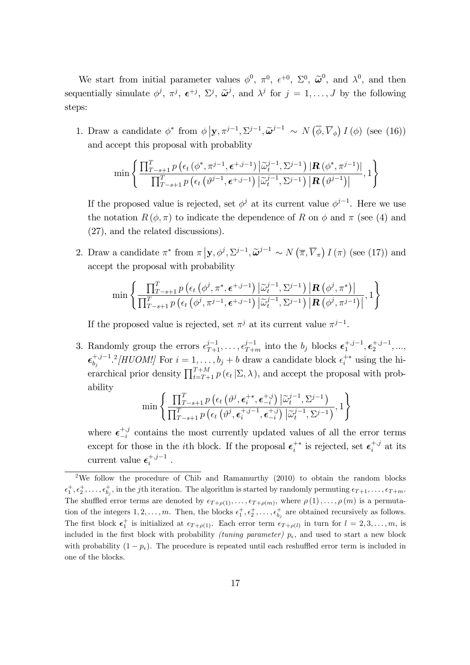We start from initial parameter values  $\phi^0$ ,  $\pi^0$ ,  $\epsilon^{+0}$ ,  $\Sigma^0$ ,  $\tilde{\omega}^0$ , and  $\lambda^0$ , and then sequentially simulate  $\phi^j$ ,  $\pi^j$ ,  $\epsilon^{+j}$ ,  $\Sigma^j$ ,  $\tilde{\omega}^j$ , and  $\lambda^j$  for  $j = 1, ..., J$  by the following steps:

1. Draw a candidate  $\phi^*$  from  $\phi | \mathbf{y}, \pi^{j-1}, \Sigma^{j-1}, \tilde{\boldsymbol{\omega}}^{j-1} \sim N(\overline{\phi}, \overline{V}_{\phi}) I(\phi)$  (see (16)) and accept this proposal with probablity

$$
\min\left\{\frac{\prod_{T-s+1}^{T}p\left(\epsilon_{t}\left(\phi^{*},\pi^{j-1},\boldsymbol{\epsilon}^{+,j-1}\right)\left|\widetilde{\omega}_{t}^{j-1},\Sigma^{j-1}\right.\right)|\mathbf{R}\left(\phi^{*},\pi^{j-1}\right)|}{\prod_{T-s+1}^{T}p\left(\epsilon_{t}\left(\vartheta^{j-1},\boldsymbol{\epsilon}^{+,j-1}\right)\left|\widetilde{\omega}_{t}^{j-1},\Sigma^{j-1}\right.\right)|\mathbf{R}\left(\vartheta^{j-1}\right)|},1\right\}
$$

If the proposed value is rejected, set  $\phi^j$  at its current value  $\phi^{j-1}$ . Here we use the notation  $R(\phi, \pi)$  to indicate the dependence of R on  $\phi$  and  $\pi$  (see (4) and (27), and the related discussions).

2. Draw a candidate  $\pi^*$  from  $\pi | \mathbf{y}, \phi^j, \Sigma^{j-1}, \widetilde{\boldsymbol{\omega}}^{j-1} \sim N(\overline{\pi}, \overline{V}_{\pi}) I(\pi)$  (see (17)) and accept the proposal with probability

$$
\min\left\{\frac{\prod_{T-s+1}^{T}p\left(\epsilon_{t}\left(\phi^{j},\pi^{*},\boldsymbol{\epsilon}^{+,j-1}\right)\left|\widetilde{\omega}_{t}^{j-1},\Sigma^{j-1}\right.\right)\left|\mathbf{R}\left(\phi^{j},\pi^{*}\right)\right|}{\prod_{T-s+1}^{T}p\left(\epsilon_{t}\left(\phi^{j},\pi^{j-1},\boldsymbol{\epsilon}^{+,j-1}\right)\left|\widetilde{\omega}_{t}^{j-1},\Sigma^{j-1}\right.\right)\left|\mathbf{R}\left(\phi^{j},\pi^{j-1}\right)\right|^{n}},1\right\}
$$

If the proposed value is rejected, set  $\pi^{j}$  at its current value  $\pi^{j-1}$ .

3. Randomly group the errors  $\epsilon_{T+1}^{j-1}, \ldots, \epsilon_{T+m}^{j-1}$  into the  $b_j$  blocks  $\epsilon_1^{+,j-1}, \epsilon_2^{+,j-1}, \ldots,$  $\epsilon_{b_j}^{+,j-1,2}$  [HUOM!] For  $i=1,\ldots,b_j+b$  draw a candidate block  $\epsilon_i^{+*}$  using the hierarchical prior density  $\prod_{t=T+1}^{T+M} p(\epsilon_t | \Sigma, \lambda)$ , and accept the proposal with probability

$$
\min \left\{ \frac{\prod_{T-s+1}^{T} p\left(\epsilon_t \left(\vartheta^j, \boldsymbol{\epsilon}_i^{+*}, \boldsymbol{\epsilon}_{-i}^{+,j}\right) \left| \widetilde{\omega}_t^{j-1}, \Sigma^{j-1} \right.}{\prod_{T-s+1}^{T} p\left(\epsilon_t \left(\vartheta^j, \boldsymbol{\epsilon}_i^{+,j-1}, \boldsymbol{\epsilon}_{-i}^{+,j}\right) \left| \widetilde{\omega}_t^{j-1}, \Sigma^{j-1} \right. \right)}, 1 \right\}
$$

where  $\epsilon_{-i}^{+,j}$  $\begin{bmatrix} +3 \\ -i \end{bmatrix}$  contains the most currently updated values of all the error terms except for those in the *i*<sup>th</sup> block. If the proposal  $\epsilon_i^{+*}$  is rejected, set  $\epsilon_i^{+,j}$  $i^{+,j}$  at its current value  $\epsilon_i^{+,j-1}$ .

<sup>&</sup>lt;sup>2</sup>We follow the procedure of Chib and Ramamurthy (2010) to obtain the random blocks  $\epsilon_1^+, \epsilon_2^+, \ldots, \epsilon_{b_j}^+$ , in the jth iteration. The algorithm is started by randomly permuting  $\epsilon_{T+1}, \ldots, \epsilon_{T+m}$ . The shuffled error terms are denoted by  $\epsilon_{T+\rho(1)},\ldots,\epsilon_{T+\rho(m)}$ , where  $\rho(1),\ldots,\rho(m)$  is a permutation of the integers  $1, 2, \ldots, m$ . Then, the blocks  $\epsilon_1^+, \epsilon_2^+, \ldots, \epsilon_{b_j}^+$  are obtained recursively as follows. The first block  $\epsilon_1^+$  is initialized at  $\epsilon_{T+\rho(1)}$ . Each error term  $\epsilon_{T+\rho(l)}$  in turn for  $l=2,3,\ldots,m$ , is included in the first block with probability *(tuning parameter)*  $p_{\epsilon}$ , and used to start a new block with probability  $(1 - p_{\epsilon})$ . The procedure is repeated until each reshuffled error term is included in one of the blocks.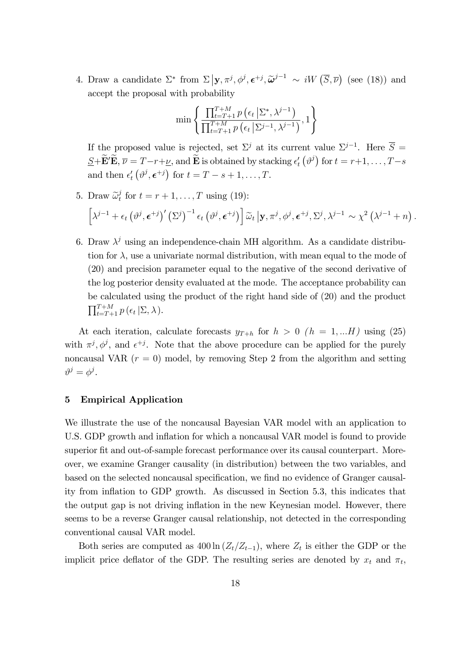4. Draw a candidate  $\Sigma^*$  from  $\Sigma | \mathbf{y}, \pi^j, \phi^j, \epsilon^{+j}, \widetilde{\boldsymbol{\omega}}^{j-1} \sim iW(\overline{S}, \overline{\nu})$  (see (18)) and accept the proposal with probability

$$
\min\left\{\frac{\prod_{t=T+1}^{T+M} p\left(\epsilon_t \left|\sum^*, \lambda^{j-1}\right.\right)}{\prod_{t=T+1}^{T+M} p\left(\epsilon_t \left|\sum^{j-1}, \lambda^{j-1}\right.\right)}, 1\right\}
$$

If the proposed value is rejected, set  $\Sigma^j$  at its current value  $\Sigma^{j-1}$ . Here  $\overline{S}$  =  $\underline{S}+\widetilde{\mathbf{E}}'\widetilde{\mathbf{E}},\,\overline{\nu}=T-r+\underline{\nu},\,\text{and}\,\widetilde{\mathbf{E}}$  is obtained by stacking  $\epsilon_t'\left(\vartheta^j\right)$  for  $t=r+1,\ldots,T-s$ and then  $\epsilon'_t\left(\vartheta^j,\boldsymbol{\epsilon}^{+j}\right)$  for  $t=T-s+1,\ldots,T$ .

- 5. Draw  $\widetilde{\omega}_t^j$  $t_t$  for  $t = r + 1, \ldots, T$  using (19):  $\left[\lambda^{j-1} + \epsilon_t \left(\vartheta^j, \boldsymbol{\epsilon}^{+j}\right)' \left(\Sigma^j\right)^{-1} \epsilon_t \left(\vartheta^j, \boldsymbol{\epsilon}^{+j}\right)\right] \widetilde{\omega}_t | \mathbf{y}, \pi^j, \phi^j, \boldsymbol{\epsilon}^{+j}, \Sigma^j, \lambda^{j-1} \sim \chi^2 \left(\lambda^{j-1} + n\right).$
- 6. Draw  $\lambda^j$  using an independence-chain MH algorithm. As a candidate distribution for  $\lambda$ , use a univariate normal distribution, with mean equal to the mode of (20) and precision parameter equal to the negative of the second derivative of the log posterior density evaluated at the mode. The acceptance probability can be calculated using the product of the right hand side of (20) and the product  $\prod_{t=T+1}^{T+M} p(\epsilon_t | \Sigma, \lambda).$

At each iteration, calculate forecasts  $y_{T+h}$  for  $h > 0$   $(h = 1,...H)$  using (25) with  $\pi^{j}, \phi^{j}$ , and  $\epsilon^{+j}$ . Note that the above procedure can be applied for the purely noncausal VAR  $(r = 0)$  model, by removing Step 2 from the algorithm and setting  $\vartheta^j = \phi^j.$ 

#### 5 Empirical Application

We illustrate the use of the noncausal Bayesian VAR model with an application to U.S. GDP growth and inflation for which a noncausal VAR model is found to provide superior fit and out-of-sample forecast performance over its causal counterpart. Moreover, we examine Granger causality (in distribution) between the two variables, and based on the selected noncausal specification, we find no evidence of Granger causality from ináation to GDP growth. As discussed in Section 5.3, this indicates that the output gap is not driving inflation in the new Keynesian model. However, there seems to be a reverse Granger causal relationship, not detected in the corresponding conventional causal VAR model.

Both series are computed as  $400 \ln (Z_t/Z_{t-1})$ , where  $Z_t$  is either the GDP or the implicit price deflator of the GDP. The resulting series are denoted by  $x_t$  and  $\pi_t$ ,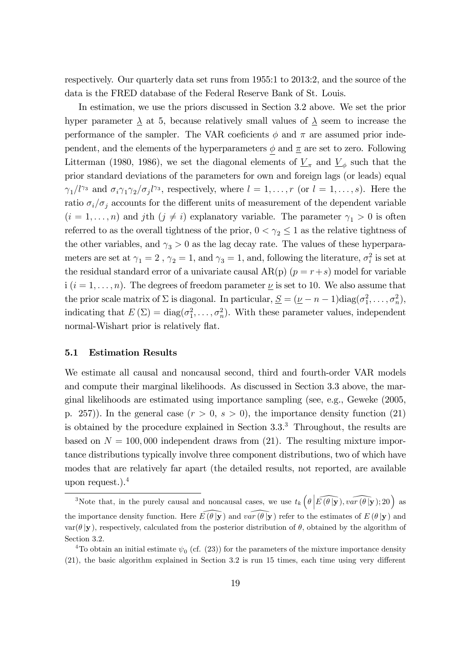respectively. Our quarterly data set runs from 1955:1 to 2013:2, and the source of the data is the FRED database of the Federal Reserve Bank of St. Louis.

In estimation, we use the priors discussed in Section 3.2 above. We set the prior hyper parameter  $\lambda$  at 5, because relatively small values of  $\lambda$  seem to increase the performance of the sampler. The VAR coeficients  $\phi$  and  $\pi$  are assumed prior independent, and the elements of the hyperparameters  $\phi$  and  $\pi$  are set to zero. Following Litterman (1980, 1986), we set the diagonal elements of  $\underline{V}_{\pi}$  and  $\underline{V}_{\phi}$  such that the prior standard deviations of the parameters for own and foreign lags (or leads) equal  $\gamma_1/l^{\gamma_3}$  and  $\sigma_i\gamma_1\gamma_2/\sigma_jl^{\gamma_3}$ , respectively, where  $l=1,\ldots,r$  (or  $l=1,\ldots,s$ ). Here the ratio  $\sigma_i/\sigma_j$  accounts for the different units of measurement of the dependent variable  $(i = 1, \ldots, n)$  and jth  $(j \neq i)$  explanatory variable. The parameter  $\gamma_1 > 0$  is often referred to as the overall tightness of the prior,  $0 < \gamma_2 \leq 1$  as the relative tightness of the other variables, and  $\gamma_3 > 0$  as the lag decay rate. The values of these hyperparameters are set at  $\gamma_1 = 2$  ,  $\gamma_2 = 1$ , and  $\gamma_3 = 1$ , and, following the literature,  $\sigma_i^2$  is set at the residual standard error of a univariate causal  $AR(p)$   $(p = r + s)$  model for variable i  $(i = 1, \ldots, n)$ . The degrees of freedom parameter  $\nu$  is set to 10. We also assume that the prior scale matrix of  $\Sigma$  is diagonal. In particular,  $\underline{S} = (\underline{\nu} - n - 1)$ diag $(\sigma_1^2, \ldots, \sigma_n^2)$ , indicating that  $E(\Sigma) = \text{diag}(\sigma_1^2, \dots, \sigma_n^2)$ . With these parameter values, independent normal-Wishart prior is relatively flat.

#### 5.1 Estimation Results

We estimate all causal and noncausal second, third and fourth-order VAR models and compute their marginal likelihoods. As discussed in Section 3.3 above, the marginal likelihoods are estimated using importance sampling (see, e.g., Geweke (2005, p. 257). In the general case  $(r > 0, s > 0)$ , the importance density function (21) is obtained by the procedure explained in Section  $3.3<sup>3</sup>$ . Throughout, the results are based on  $N = 100,000$  independent draws from (21). The resulting mixture importance distributions typically involve three component distributions, two of which have modes that are relatively far apart (the detailed results, not reported, are available upon request.).<sup>4</sup>

<sup>&</sup>lt;sup>3</sup>Note that, in the purely causal and noncausal cases, we use  $t_k\left(\theta\Big|\widehat{E(\theta|\mathbf{y})},\widehat{var(\theta|\mathbf{y})};20\right)$  as the importance density function. Here  $\widehat{E(\theta|{\bf y})}$  and  $\widehat{var(\theta|{\bf y})}$  refer to the estimates of  $E(\theta|{\bf y})$  and  $\text{var}(\theta | \mathbf{y})$ , respectively, calculated from the posterior distribution of  $\theta$ , obtained by the algorithm of Section 3.2.

<sup>&</sup>lt;sup>4</sup>To obtain an initial estimate  $\psi_0$  (cf. (23)) for the parameters of the mixture importance density  $(21)$ , the basic algorithm explained in Section 3.2 is run 15 times, each time using very different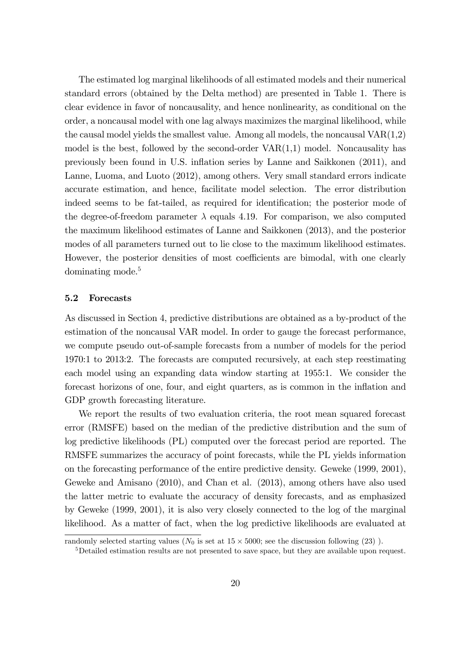The estimated log marginal likelihoods of all estimated models and their numerical standard errors (obtained by the Delta method) are presented in Table 1. There is clear evidence in favor of noncausality, and hence nonlinearity, as conditional on the order, a noncausal model with one lag always maximizes the marginal likelihood, while the causal model yields the smallest value. Among all models, the noncausal  $VAR(1,2)$ model is the best, followed by the second-order  $VAR(1,1)$  model. Noncausality has previously been found in U.S. ináation series by Lanne and Saikkonen (2011), and Lanne, Luoma, and Luoto (2012), among others. Very small standard errors indicate accurate estimation, and hence, facilitate model selection. The error distribution indeed seems to be fat-tailed, as required for identification; the posterior mode of the degree-of-freedom parameter  $\lambda$  equals 4.19. For comparison, we also computed the maximum likelihood estimates of Lanne and Saikkonen (2013), and the posterior modes of all parameters turned out to lie close to the maximum likelihood estimates. However, the posterior densities of most coefficients are bimodal, with one clearly dominating mode.<sup>5</sup>

#### 5.2 Forecasts

As discussed in Section 4, predictive distributions are obtained as a by-product of the estimation of the noncausal VAR model. In order to gauge the forecast performance, we compute pseudo out-of-sample forecasts from a number of models for the period 1970:1 to 2013:2. The forecasts are computed recursively, at each step reestimating each model using an expanding data window starting at 1955:1. We consider the forecast horizons of one, four, and eight quarters, as is common in the inflation and GDP growth forecasting literature.

We report the results of two evaluation criteria, the root mean squared forecast error (RMSFE) based on the median of the predictive distribution and the sum of log predictive likelihoods (PL) computed over the forecast period are reported. The RMSFE summarizes the accuracy of point forecasts, while the PL yields information on the forecasting performance of the entire predictive density. Geweke (1999, 2001), Geweke and Amisano (2010), and Chan et al. (2013), among others have also used the latter metric to evaluate the accuracy of density forecasts, and as emphasized by Geweke (1999, 2001), it is also very closely connected to the log of the marginal likelihood. As a matter of fact, when the log predictive likelihoods are evaluated at

randomly selected starting values ( $N_0$  is set at  $15 \times 5000$ ; see the discussion following (23)).

<sup>5</sup>Detailed estimation results are not presented to save space, but they are available upon request.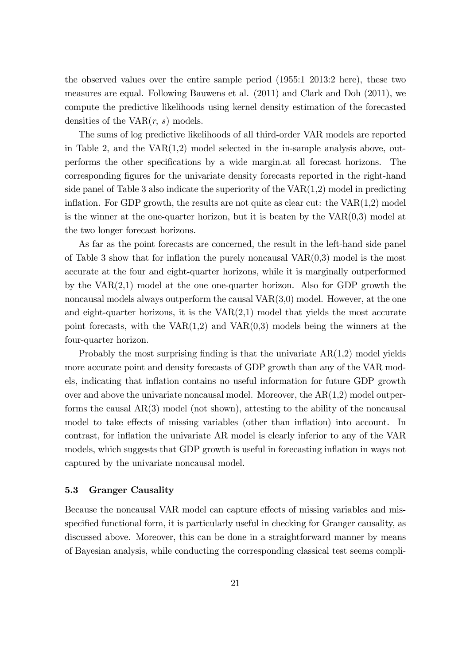the observed values over the entire sample period  $(1955:1-2013:2$  here), these two measures are equal. Following Bauwens et al. (2011) and Clark and Doh (2011), we compute the predictive likelihoods using kernel density estimation of the forecasted densities of the  $VAR(r, s)$  models.

The sums of log predictive likelihoods of all third-order VAR models are reported in Table 2, and the  $VAR(1,2)$  model selected in the in-sample analysis above, outperforms the other specifications by a wide margin.at all forecast horizons. The corresponding Ögures for the univariate density forecasts reported in the right-hand side panel of Table 3 also indicate the superiority of the  $VAR(1,2)$  model in predicting inflation. For GDP growth, the results are not quite as clear cut: the  $VAR(1,2)$  model is the winner at the one-quarter horizon, but it is beaten by the  $VAR(0,3)$  model at the two longer forecast horizons.

As far as the point forecasts are concerned, the result in the left-hand side panel of Table 3 show that for inflation the purely noncausal  $VAR(0,3)$  model is the most accurate at the four and eight-quarter horizons, while it is marginally outperformed by the VAR(2,1) model at the one one-quarter horizon. Also for GDP growth the noncausal models always outperform the causal VAR(3,0) model. However, at the one and eight-quarter horizons, it is the  $VAR(2,1)$  model that yields the most accurate point forecasts, with the  $VAR(1,2)$  and  $VAR(0,3)$  models being the winners at the four-quarter horizon.

Probably the most surprising finding is that the univariate  $AR(1,2)$  model yields more accurate point and density forecasts of GDP growth than any of the VAR models, indicating that inflation contains no useful information for future GDP growth over and above the univariate noncausal model. Moreover, the  $AR(1,2)$  model outperforms the causal AR(3) model (not shown), attesting to the ability of the noncausal model to take effects of missing variables (other than inflation) into account. In contrast, for ináation the univariate AR model is clearly inferior to any of the VAR models, which suggests that GDP growth is useful in forecasting inflation in ways not captured by the univariate noncausal model.

### 5.3 Granger Causality

Because the noncausal VAR model can capture effects of missing variables and misspecified functional form, it is particularly useful in checking for Granger causality, as discussed above. Moreover, this can be done in a straightforward manner by means of Bayesian analysis, while conducting the corresponding classical test seems compli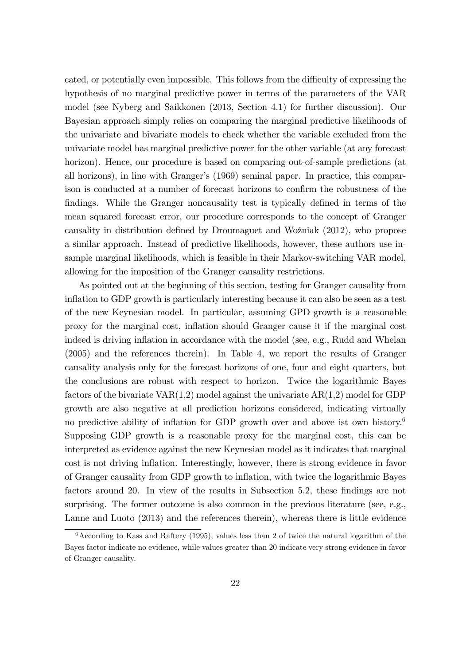cated, or potentially even impossible. This follows from the difficulty of expressing the hypothesis of no marginal predictive power in terms of the parameters of the VAR model (see Nyberg and Saikkonen (2013, Section 4.1) for further discussion). Our Bayesian approach simply relies on comparing the marginal predictive likelihoods of the univariate and bivariate models to check whether the variable excluded from the univariate model has marginal predictive power for the other variable (at any forecast horizon). Hence, our procedure is based on comparing out-of-sample predictions (at all horizons), in line with Grangerís (1969) seminal paper. In practice, this comparison is conducted at a number of forecast horizons to confirm the robustness of the findings. While the Granger noncausality test is typically defined in terms of the mean squared forecast error, our procedure corresponds to the concept of Granger causality in distribution defined by Droumaguet and Woźniak (2012), who propose a similar approach. Instead of predictive likelihoods, however, these authors use insample marginal likelihoods, which is feasible in their Markov-switching VAR model, allowing for the imposition of the Granger causality restrictions.

As pointed out at the beginning of this section, testing for Granger causality from inflation to GDP growth is particularly interesting because it can also be seen as a test of the new Keynesian model. In particular, assuming GPD growth is a reasonable proxy for the marginal cost, ináation should Granger cause it if the marginal cost indeed is driving inflation in accordance with the model (see, e.g., Rudd and Whelan (2005) and the references therein). In Table 4, we report the results of Granger causality analysis only for the forecast horizons of one, four and eight quarters, but the conclusions are robust with respect to horizon. Twice the logarithmic Bayes factors of the bivariate  $VAR(1,2)$  model against the univariate  $AR(1,2)$  model for GDP growth are also negative at all prediction horizons considered, indicating virtually no predictive ability of inflation for GDP growth over and above ist own history.<sup>6</sup> Supposing GDP growth is a reasonable proxy for the marginal cost, this can be interpreted as evidence against the new Keynesian model as it indicates that marginal cost is not driving ináation. Interestingly, however, there is strong evidence in favor of Granger causality from GDP growth to inflation, with twice the logarithmic Bayes factors around 20. In view of the results in Subsection 5.2, these findings are not surprising. The former outcome is also common in the previous literature (see, e.g., Lanne and Luoto (2013) and the references therein), whereas there is little evidence

 $6$ According to Kass and Raftery (1995), values less than 2 of twice the natural logarithm of the Bayes factor indicate no evidence, while values greater than 20 indicate very strong evidence in favor of Granger causality.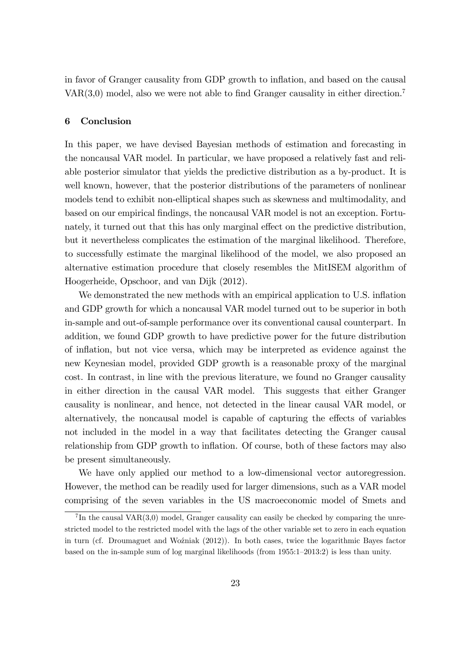in favor of Granger causality from GDP growth to inflation, and based on the causal VAR $(3,0)$  model, also we were not able to find Granger causality in either direction.<sup>7</sup>

#### 6 Conclusion

In this paper, we have devised Bayesian methods of estimation and forecasting in the noncausal VAR model. In particular, we have proposed a relatively fast and reliable posterior simulator that yields the predictive distribution as a by-product. It is well known, however, that the posterior distributions of the parameters of nonlinear models tend to exhibit non-elliptical shapes such as skewness and multimodality, and based on our empirical Öndings, the noncausal VAR model is not an exception. Fortunately, it turned out that this has only marginal effect on the predictive distribution, but it nevertheless complicates the estimation of the marginal likelihood. Therefore, to successfully estimate the marginal likelihood of the model, we also proposed an alternative estimation procedure that closely resembles the MitISEM algorithm of Hoogerheide, Opschoor, and van Dijk (2012).

We demonstrated the new methods with an empirical application to U.S. inflation and GDP growth for which a noncausal VAR model turned out to be superior in both in-sample and out-of-sample performance over its conventional causal counterpart. In addition, we found GDP growth to have predictive power for the future distribution of ináation, but not vice versa, which may be interpreted as evidence against the new Keynesian model, provided GDP growth is a reasonable proxy of the marginal cost. In contrast, in line with the previous literature, we found no Granger causality in either direction in the causal VAR model. This suggests that either Granger causality is nonlinear, and hence, not detected in the linear causal VAR model, or alternatively, the noncausal model is capable of capturing the effects of variables not included in the model in a way that facilitates detecting the Granger causal relationship from GDP growth to inflation. Of course, both of these factors may also be present simultaneously.

We have only applied our method to a low-dimensional vector autoregression. However, the method can be readily used for larger dimensions, such as a VAR model comprising of the seven variables in the US macroeconomic model of Smets and

 ${}^{7}$ In the causal VAR $(3,0)$  model, Granger causality can easily be checked by comparing the unrestricted model to the restricted model with the lags of the other variable set to zero in each equation in turn (cf. Droumaguet and Wo $\chi$ zniak (2012)). In both cases, twice the logarithmic Bayes factor based on the in-sample sum of log marginal likelihoods (from  $1955:1-2013:2$ ) is less than unity.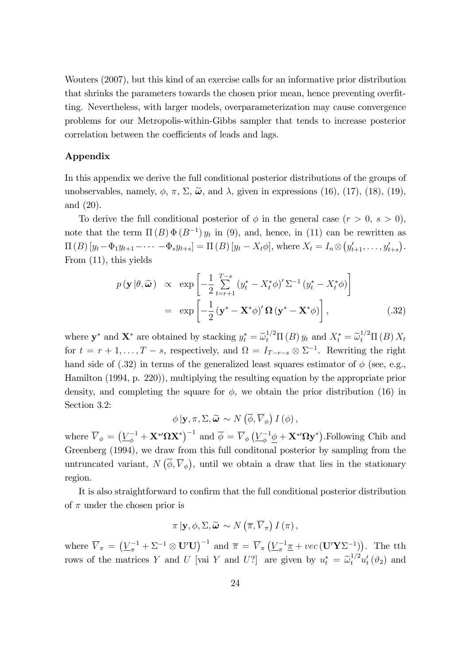Wouters (2007), but this kind of an exercise calls for an informative prior distribution that shrinks the parameters towards the chosen prior mean, hence preventing overfitting. Nevertheless, with larger models, overparameterization may cause convergence problems for our Metropolis-within-Gibbs sampler that tends to increase posterior correlation between the coefficients of leads and lags.

### Appendix

In this appendix we derive the full conditional posterior distributions of the groups of unobservables, namely,  $\phi$ ,  $\pi$ ,  $\Sigma$ ,  $\tilde{\boldsymbol{\omega}}$ , and  $\lambda$ , given in expressions (16), (17), (18), (19), and (20).

To derive the full conditional posterior of  $\phi$  in the general case  $(r > 0, s > 0)$ , note that the term  $\Pi(B) \Phi(B^{-1}) y_t$  in (9), and, hence, in (11) can be rewritten as  $\Pi(B) [y_t - \Phi_1 y_{t+1} - \cdots - \Phi_s y_{t+s}] = \Pi(B) [y_t - X_t \phi],$  where  $X_t = I_n \otimes (y'_{t+1}, \ldots, y'_{t+s}).$ From (11), this yields

$$
p(\mathbf{y}|\theta,\widetilde{\boldsymbol{\omega}}) \propto \exp\left[-\frac{1}{2}\sum_{t=r+1}^{T-s} (y_t^* - X_t^*\phi)' \Sigma^{-1} (y_t^* - X_t^*\phi)\right]
$$

$$
= \exp\left[-\frac{1}{2}(\mathbf{y}^* - \mathbf{X}^*\phi)' \Omega (\mathbf{y}^* - \mathbf{X}^*\phi)\right], \tag{32}
$$

where  $\mathbf{y}^*$  and  $\mathbf{X}^*$  are obtained by stacking  $y_t^* = \tilde{\omega}_t^{1/2} \Pi(B) y_t$  and  $X_t^* = \tilde{\omega}_t^{1/2} \Pi(B) X_t$ for  $t = r + 1, \ldots, T - s$ , respectively, and  $\Omega = I_{T-r-s} \otimes \Sigma^{-1}$ . Rewriting the right hand side of (.32) in terms of the generalized least squares estimator of  $\phi$  (see, e.g., Hamilton (1994, p. 220)), multiplying the resulting equation by the appropriate prior density, and completing the square for  $\phi$ , we obtain the prior distribution (16) in Section 3.2:

$$
\phi | \mathbf{y}, \pi, \Sigma, \widetilde{\boldsymbol{\omega}} \sim N \left( \overline{\phi}, \overline{V}_{\phi} \right) I \left( \phi \right),
$$

where  $\overline{V}_{\phi} = \left(\underline{V}_{\phi}^{-1} + \mathbf{X}^*'\Omega\mathbf{X}^*\right)^{-1}$  and  $\overline{\phi} = \overline{V}_{\phi}\left(\underline{V}_{\phi}^{-1}\underline{\phi} + \mathbf{X}^*\Omega\mathbf{y}^*\right)$ . Following Chib and Greenberg (1994), we draw from this full conditonal posterior by sampling from the untruncated variant,  $N(\overline{\phi}, \overline{V}_{\phi})$ , until we obtain a draw that lies in the stationary region.

It is also straightforward to confirm that the full conditional posterior distribution of  $\pi$  under the chosen prior is

$$
\pi | \mathbf{y}, \phi, \Sigma, \widetilde{\boldsymbol{\omega}} \sim N \left( \overline{\pi}, \overline{V}_{\pi} \right) I \left( \pi \right),
$$

where  $\overline{V}_{\pi} = (\underline{V}_{\pi}^{-1} + \Sigma^{-1} \otimes \mathbf{U}' \mathbf{U})^{-1}$  and  $\overline{\pi} = \overline{V}_{\pi} (\underline{V}_{\pi}^{-1} \underline{\pi} + vec(\mathbf{U}' \mathbf{Y} \Sigma^{-1}))$ . The tth rows of the matrices Y and U [vai Y and U?] are given by  $u_t^* = \tilde{\omega}_t^{1/2} u_t'(\vartheta_2)$  and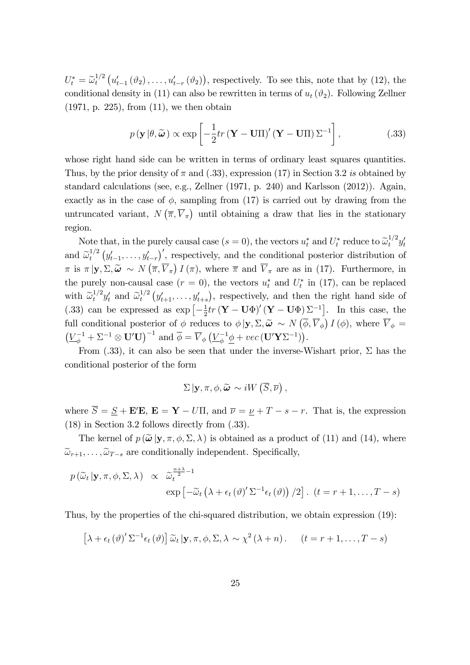$U_t^* = \widetilde{\omega}_t^{1/2}$  $u_t^{1/2}\left(u_{t-1}'\left(\vartheta_2\right),\ldots,u_{t-r}'\left(\vartheta_2\right)\right)$ , respectively. To see this, note that by (12), the conditional density in (11) can also be rewritten in terms of  $u_t(\vartheta_2)$ . Following Zellner (1971, p. 225), from (11), we then obtain

$$
p(\mathbf{y}|\theta,\widetilde{\boldsymbol{\omega}}) \propto \exp\left[-\frac{1}{2}tr(\mathbf{Y}-\mathbf{U}\Pi)'(\mathbf{Y}-\mathbf{U}\Pi)\Sigma^{-1}\right],
$$
 (.33)

whose right hand side can be written in terms of ordinary least squares quantities. Thus, by the prior density of  $\pi$  and (.33), expression (17) in Section 3.2 is obtained by standard calculations (see, e.g., Zellner (1971, p. 240) and Karlsson (2012)). Again, exactly as in the case of  $\phi$ , sampling from (17) is carried out by drawing from the untruncated variant,  $N(\overline{\pi}, \overline{V}_{\pi})$  until obtaining a draw that lies in the stationary region.

Note that, in the purely causal case  $(s = 0)$ , the vectors  $u_t^*$  and  $U_t^*$  reduce to  $\tilde{\omega}_t^{1/2} y_t'$ and  $\widetilde{\omega}_t^{1/2}$  $y_t^{1/2} (y'_{t-1}, \ldots, y'_{t-r})'$ , respectively, and the conditional posterior distribution of  $\pi$  is  $\pi | \mathbf{y}, \Sigma, \widetilde{\boldsymbol{\omega}} \sim N(\overline{\pi}, \overline{V}_{\pi}) I(\pi)$ , where  $\overline{\pi}$  and  $\overline{V}_{\pi}$  are as in (17). Furthermore, in the purely non-causal case  $(r = 0)$ , the vectors  $u_t^*$  and  $U_t^*$  in (17), can be replaced with  $\widetilde{\omega}_t^{1/2} y_t'$  and  $\widetilde{\omega}_t^{1/2}$  $y_t^{1/2}$   $(y'_{t+1}, \ldots, y'_{t+s})$ , respectively, and then the right hand side of  $(.33)$  can be expressed as  $\exp\left[-\frac{1}{2}\right]$  $\frac{1}{2}tr(\mathbf{Y}-\mathbf{U}\Phi)'(\mathbf{Y}-\mathbf{U}\Phi)\Sigma^{-1}$ . In this case, the full conditional posterior of  $\phi$  reduces to  $\phi | \mathbf{y}, \Sigma, \widetilde{\boldsymbol{\omega}} \sim N(\overline{\phi}, \overline{V}_{\phi}) I(\phi)$ , where  $\overline{V}_{\phi} =$  $(\underline{V}_{\phi}^{-1} + \Sigma^{-1} \otimes \mathbf{U}'\mathbf{U})^{-1}$  and  $\overline{\phi} = \overline{V}_{\phi} (\underline{V}_{\phi}^{-1} \underline{\phi} + vec(\mathbf{U}'\mathbf{Y}\Sigma^{-1})).$ 

From  $(.33)$ , it can also be seen that under the inverse-Wishart prior,  $\Sigma$  has the conditional posterior of the form

$$
\Sigma | \mathbf{y}, \pi, \phi, \widetilde{\boldsymbol{\omega}} \sim iW\left(\overline{S}, \overline{\nu}\right),
$$

where  $\overline{S} = \underline{S} + \mathbf{E}'\mathbf{E}$ ,  $\mathbf{E} = \mathbf{Y} - U\Pi$ , and  $\overline{\nu} = \underline{\nu} + T - s - r$ . That is, the expression (18) in Section 3.2 follows directly from (.33).

The kernel of  $p(\tilde{\omega} | y, \pi, \phi, \Sigma, \lambda)$  is obtained as a product of (11) and (14), where  $\widetilde{\omega}_{r+1}, \ldots, \widetilde{\omega}_{T-s}$  are conditionally independent. Specifically,

$$
p(\widetilde{\omega}_t | \mathbf{y}, \pi, \phi, \Sigma, \lambda) \propto \widetilde{\omega}_t^{\frac{n+\lambda}{2} - 1}
$$
  
 
$$
\exp \left[ -\widetilde{\omega}_t \left( \lambda + \epsilon_t \left( \vartheta \right)' \Sigma^{-1} \epsilon_t \left( \vartheta \right) \right) / 2 \right]. \quad (t = r + 1, \dots, T - s)
$$

Thus, by the properties of the chi-squared distribution, we obtain expression (19):

$$
\left[\lambda + \epsilon_t \left(\vartheta\right)' \Sigma^{-1} \epsilon_t \left(\vartheta\right)\right] \widetilde{\omega}_t \left| \mathbf{y}, \pi, \phi, \Sigma, \lambda \sim \chi^2 \left(\lambda + n\right). \quad (t = r + 1, \dots, T - s)
$$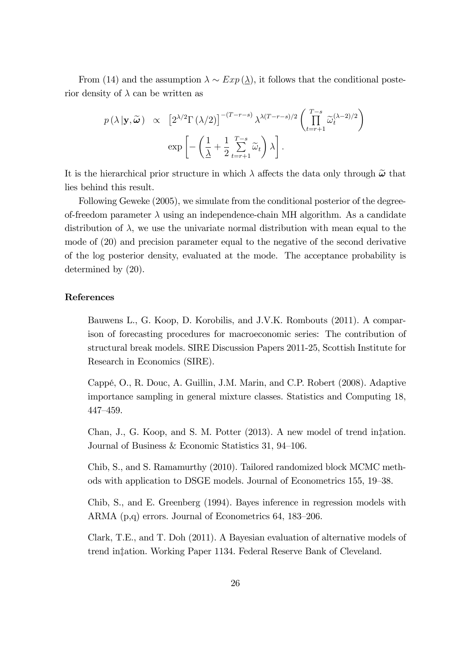From (14) and the assumption  $\lambda \sim Exp(\underline{\lambda})$ , it follows that the conditional posterior density of  $\lambda$  can be written as

$$
p(\lambda | \mathbf{y}, \widetilde{\boldsymbol{\omega}}) \propto \left[2^{\lambda/2} \Gamma(\lambda/2)\right]^{-(T-r-s)} \lambda^{\lambda (T-r-s)/2} \left(\prod_{t=r+1}^{T-s} \widetilde{\omega}_t^{(\lambda-2)/2}\right)
$$

$$
\exp\left[-\left(\frac{1}{\lambda} + \frac{1}{2} \sum_{t=r+1}^{T-s} \widetilde{\omega}_t\right) \lambda\right].
$$

It is the hierarchical prior structure in which  $\lambda$  affects the data only through  $\tilde{\omega}$  that lies behind this result.

Following Geweke (2005), we simulate from the conditional posterior of the degreeof-freedom parameter  $\lambda$  using an independence-chain MH algorithm. As a candidate distribution of  $\lambda$ , we use the univariate normal distribution with mean equal to the mode of (20) and precision parameter equal to the negative of the second derivative of the log posterior density, evaluated at the mode. The acceptance probability is determined by (20).

### References

Bauwens L., G. Koop, D. Korobilis, and J.V.K. Rombouts (2011). A comparison of forecasting procedures for macroeconomic series: The contribution of structural break models. SIRE Discussion Papers 2011-25, Scottish Institute for Research in Economics (SIRE).

CappÈ, O., R. Douc, A. Guillin, J.M. Marin, and C.P. Robert (2008). Adaptive importance sampling in general mixture classes. Statistics and Computing 18, 447-459.

Chan, J., G. Koop, and S. M. Potter (2013). A new model of trend in tation. Journal of Business & Economic Statistics 31, 94-106.

Chib, S., and S. Ramamurthy (2010). Tailored randomized block MCMC methods with application to DSGE models. Journal of Econometrics 155, 19–38.

Chib, S., and E. Greenberg (1994). Bayes inference in regression models with ARMA  $(p,q)$  errors. Journal of Econometrics 64, 183–206.

Clark, T.E., and T. Doh (2011). A Bayesian evaluation of alternative models of trend in tation. Working Paper 1134. Federal Reserve Bank of Cleveland.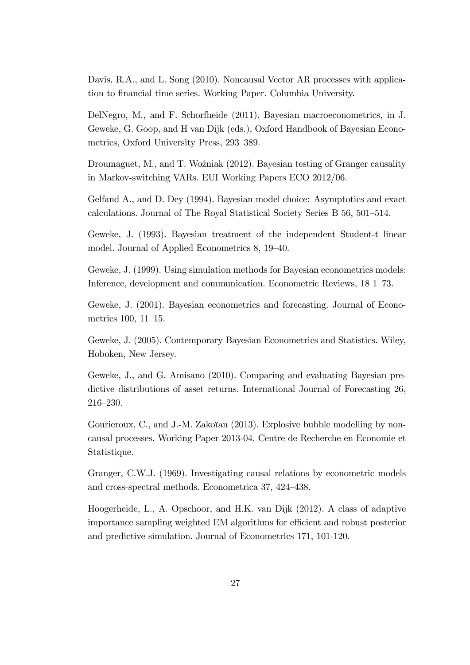Davis, R.A., and L. Song (2010). Noncausal Vector AR processes with application to financial time series. Working Paper. Columbia University.

DelNegro, M., and F. Schorfheide (2011). Bayesian macroeconometrics, in J. Geweke, G. Goop, and H van Dijk (eds.), Oxford Handbook of Bayesian Econometrics, Oxford University Press, 293–389.

Droumaguet, M., and T. Woźniak (2012). Bayesian testing of Granger causality in Markov-switching VARs. EUI Working Papers ECO 2012/06.

Gelfand A., and D. Dey (1994). Bayesian model choice: Asymptotics and exact calculations. Journal of The Royal Statistical Society Series B 56, 501-514.

Geweke, J. (1993). Bayesian treatment of the independent Student-t linear model. Journal of Applied Econometrics 8, 19–40.

Geweke, J. (1999). Using simulation methods for Bayesian econometrics models: Inference, development and communication. Econometric Reviews, 18 1–73.

Geweke, J. (2001). Bayesian econometrics and forecasting. Journal of Econometrics 100, 11–15.

Geweke, J. (2005). Contemporary Bayesian Econometrics and Statistics. Wiley, Hoboken, New Jersey.

Geweke, J., and G. Amisano (2010). Comparing and evaluating Bayesian predictive distributions of asset returns. International Journal of Forecasting 26, 216-230.

Gourieroux, C., and J.-M. Zakoïan (2013). Explosive bubble modelling by noncausal processes. Working Paper 2013-04. Centre de Recherche en Economie et Statistique.

Granger, C.W.J. (1969). Investigating causal relations by econometric models and cross-spectral methods. Econometrica 37, 424-438.

Hoogerheide, L., A. Opschoor, and H.K. van Dijk (2012). A class of adaptive importance sampling weighted EM algorithms for efficient and robust posterior and predictive simulation. Journal of Econometrics 171, 101-120.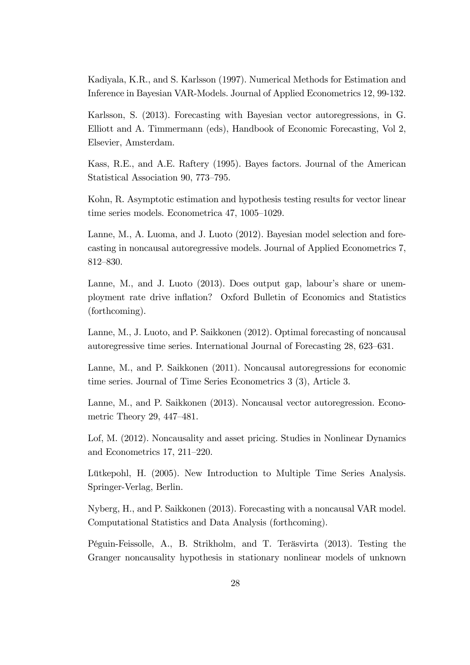Kadiyala, K.R., and S. Karlsson (1997). Numerical Methods for Estimation and Inference in Bayesian VAR-Models. Journal of Applied Econometrics 12, 99-132.

Karlsson, S. (2013). Forecasting with Bayesian vector autoregressions, in G. Elliott and A. Timmermann (eds), Handbook of Economic Forecasting, Vol 2, Elsevier, Amsterdam.

Kass, R.E., and A.E. Raftery (1995). Bayes factors. Journal of the American Statistical Association 90, 773–795.

Kohn, R. Asymptotic estimation and hypothesis testing results for vector linear time series models. Econometrica  $47, 1005-1029$ .

Lanne, M., A. Luoma, and J. Luoto (2012). Bayesian model selection and forecasting in noncausal autoregressive models. Journal of Applied Econometrics 7, 812-830.

Lanne, M., and J. Luoto (2013). Does output gap, labour's share or unemployment rate drive inflation? Oxford Bulletin of Economics and Statistics (forthcoming).

Lanne, M., J. Luoto, and P. Saikkonen (2012). Optimal forecasting of noncausal autoregressive time series. International Journal of Forecasting 28, 623–631.

Lanne, M., and P. Saikkonen (2011). Noncausal autoregressions for economic time series. Journal of Time Series Econometrics 3 (3), Article 3.

Lanne, M., and P. Saikkonen (2013). Noncausal vector autoregression. Econometric Theory 29,  $447-481$ .

Lof, M. (2012). Noncausality and asset pricing. Studies in Nonlinear Dynamics and Econometrics  $17, 211-220$ .

Lütkepohl, H. (2005). New Introduction to Multiple Time Series Analysis. Springer-Verlag, Berlin.

Nyberg, H., and P. Saikkonen (2013). Forecasting with a noncausal VAR model. Computational Statistics and Data Analysis (forthcoming).

Péguin-Feissolle, A., B. Strikholm, and T. Teräsvirta (2013). Testing the Granger noncausality hypothesis in stationary nonlinear models of unknown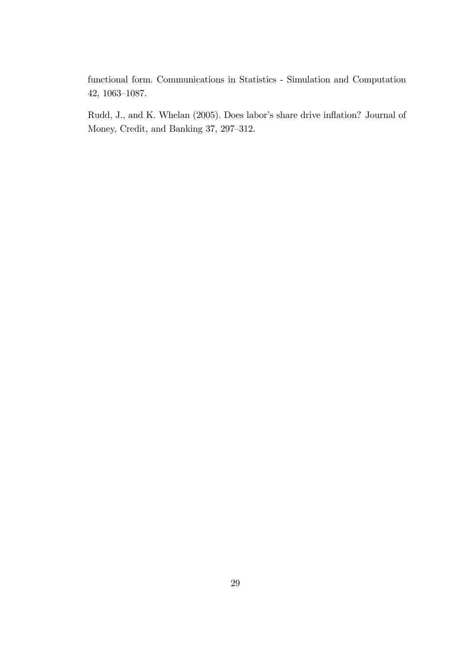functional form. Communications in Statistics - Simulation and Computation 42,  $1063-1087$ .

Rudd, J., and K. Whelan (2005). Does labor's share drive inflation? Journal of Money, Credit, and Banking  $37, 297-312$ .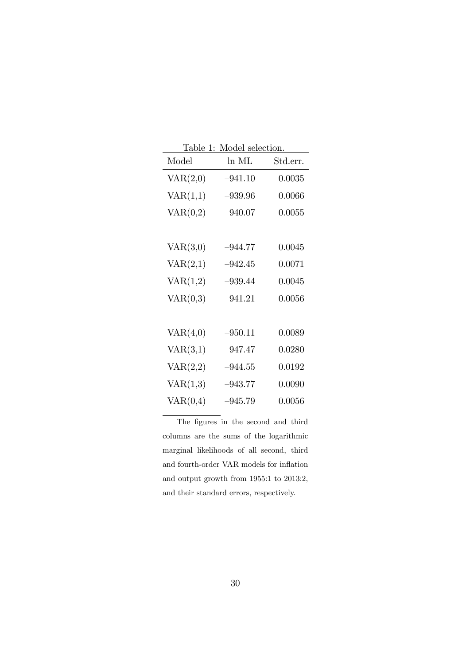| <u>Table 1: Model selection.</u> |           |          |  |  |
|----------------------------------|-----------|----------|--|--|
| Model                            | ln ML     | Std.err. |  |  |
| VAR(2,0)                         | $-941.10$ | 0.0035   |  |  |
| VAR(1,1)                         | $-939.96$ | 0.0066   |  |  |
| VAR(0,2)                         | $-940.07$ | 0.0055   |  |  |
|                                  |           |          |  |  |
| VAR(3,0)                         | $-944.77$ | 0.0045   |  |  |
| VAR(2,1)                         | $-942.45$ | 0.0071   |  |  |
| VAR(1,2)                         | $-939.44$ | 0.0045   |  |  |
| VAR(0,3)                         | $-941.21$ | 0.0056   |  |  |
|                                  |           |          |  |  |
| VAR(4,0)                         | $-950.11$ | 0.0089   |  |  |
| VAR(3,1)                         | $-947.47$ | 0.0280   |  |  |
| VAR(2,2)                         | $-944.55$ | 0.0192   |  |  |
| VAR(1,3)                         | $-943.77$ | 0.0090   |  |  |
| VAR(0,4)                         | $-945.79$ | 0.0056   |  |  |

The figures in the second and third columns are the sums of the logarithmic marginal likelihoods of all second, third and fourth-order VAR models for inflation and output growth from 1955:1 to 2013:2, and their standard errors, respectively.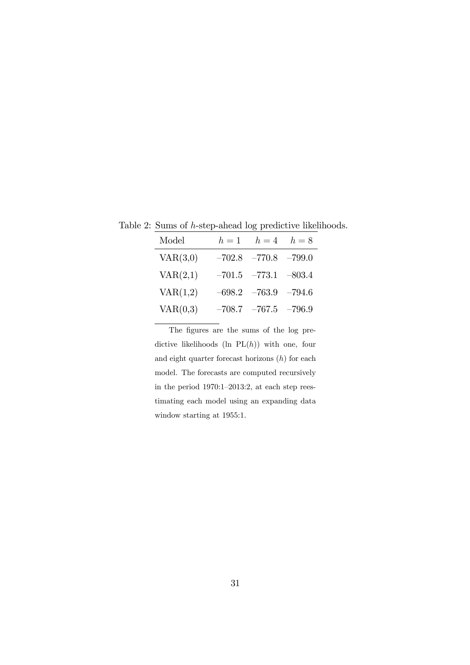Table 2: Sums of  $h$ -step-ahead log predictive likelihoods.

| Model    | $h=1$ | $h=4$ $h=8$                |  |
|----------|-------|----------------------------|--|
| VAR(3,0) |       | $-702.8$ $-770.8$ $-799.0$ |  |
| VAR(2,1) |       | $-701.5$ $-773.1$ $-803.4$ |  |
| VAR(1,2) |       | $-698.2$ $-763.9$ $-794.6$ |  |
| VAR(0,3) |       | $-708.7$ $-767.5$ $-796.9$ |  |

The figures are the sums of the log predictive likelihoods (ln  $PL(h)$ ) with one, four and eight quarter forecast horizons  $(h)$  for each model. The forecasts are computed recursively in the period  $1970:1-2013:2$ , at each step reestimating each model using an expanding data window starting at 1955:1.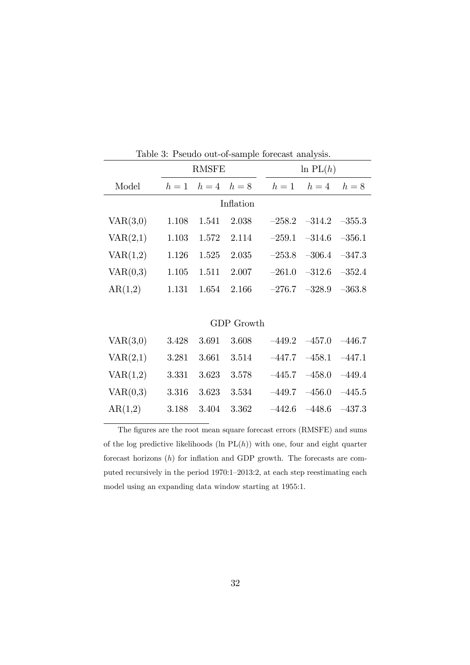|                   | <b>RMSFE</b> |             | $\ln PL(h)$ |  |          |                            |          |
|-------------------|--------------|-------------|-------------|--|----------|----------------------------|----------|
| Model             | $h=1$        | $h=4$ $h=8$ |             |  | $h=1$    | $h=4$                      | $h=8$    |
| Inflation         |              |             |             |  |          |                            |          |
| VAR(3,0)          | 1.108        | 1.541       | 2.038       |  |          | $-258.2$ $-314.2$ $-355.3$ |          |
| VAR(2,1)          | 1.103        | 1.572       | 2.114       |  | $-259.1$ | $-314.6$                   | $-356.1$ |
| VAR(1,2)          | 1.126        | 1.525       | 2.035       |  | $-253.8$ | $-306.4$                   | $-347.3$ |
| VAR(0,3)          | 1.105        | 1.511       | 2.007       |  | $-261.0$ | $-312.6$                   | $-352.4$ |
| AR(1,2)           | 1.131        | 1.654       | 2.166       |  |          | $-276.7$ $-328.9$          | $-363.8$ |
|                   |              |             |             |  |          |                            |          |
| <b>GDP</b> Growth |              |             |             |  |          |                            |          |
| VAR(3,0)          | 3.428        | 3.691       | 3.608       |  |          | $-449.2 -457.0$            | $-446.7$ |
| VAR(2,1)          | 3.281        | 3.661       | 3.514       |  | $-447.7$ | $-458.1$                   | $-447.1$ |
| VAR(1,2)          | 3.331        | 3.623       | 3.578       |  | $-445.7$ | $-458.0$                   | $-449.4$ |
| VAR(0,3)          | 3.316        | 3.623       | 3.534       |  | –449.7   | $-456.0$                   | $-445.5$ |

Table 3: Pseudo out-of-sample forecast analysis.

l,

The figures are the root mean square forecast errors (RMSFE) and sums of the log predictive likelihoods (ln  $PL(h)$ ) with one, four and eight quarter forecast horizons  $(h)$  for inflation and GDP growth. The forecasts are computed recursively in the period  $1970:1-2013:2$ , at each step reestimating each model using an expanding data window starting at 1955:1.

AR(1,2) 3.188 3.404 3.362  $-442.6$   $-48.6$   $-437.3$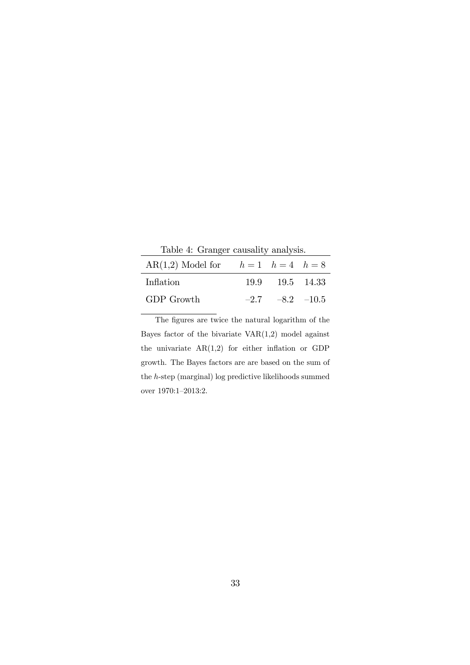Table 4: Granger causality analysis.

| AR(1,2) Model for $h = 1$ $h = 4$ $h = 8$ |                       |  |
|-------------------------------------------|-----------------------|--|
| Inflation                                 | 19.9 19.5 14.33       |  |
| GDP Growth                                | $-2.7$ $-8.2$ $-10.5$ |  |

The figures are twice the natural logarithm of the Bayes factor of the bivariate  $VAR(1,2)$  model against the univariate  $AR(1,2)$  for either inflation or GDP growth. The Bayes factors are are based on the sum of the h-step (marginal) log predictive likelihoods summed over 1970:1-2013:2.